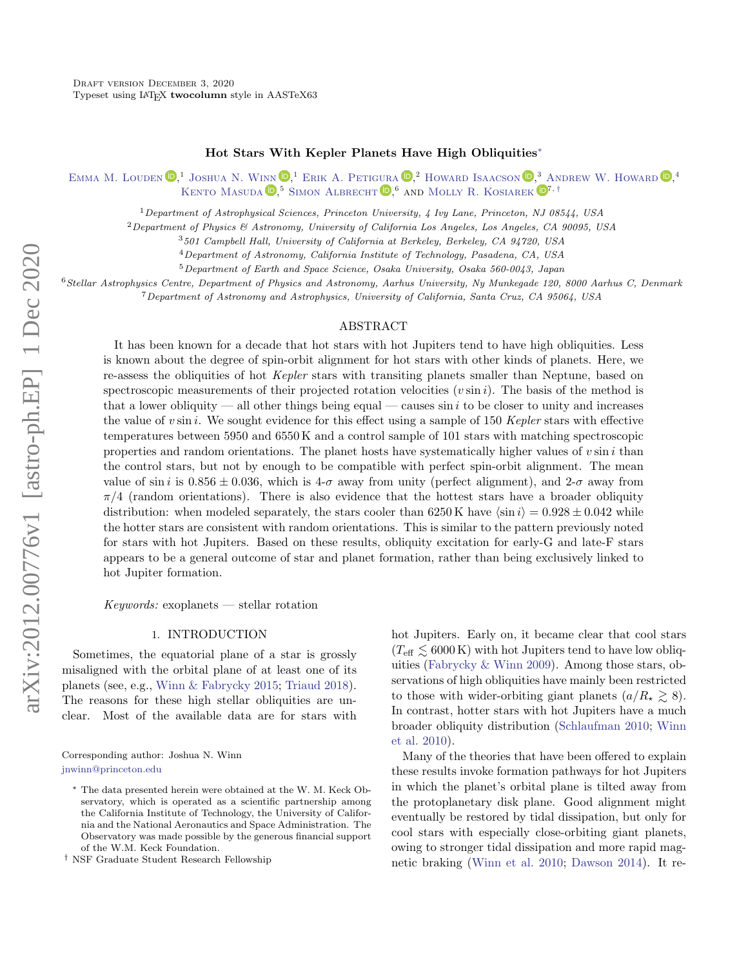### Hot Stars With Kepler Planets Have High Obliquities[∗](#page-0-0)

EMMA M. LOUDEN  $\mathbb{D}$ <sup>1</sup> JOSHUA N. WINN  $\mathbb{D}$ <sup>1</sup> ERIK A. PETIGURA  $\mathbb{D}$ <sup>2</sup> [Howard Isaacson](http://orcid.org/0000-0002-0531-1073)  $\mathbb{D}$ <sup>3</sup> [Andrew W. Howard](http://orcid.org/0000-0001-8638-0320)  $\mathbb{D}$ <sup>4</sup> KENTO MASUDA **D.**<sup>5</sup> SIMON ALBRECHT **D.**<sup>6</sup> AND MOLLY R. KOSIAREK **D**<sup>7, [†](#page-0-1)</sup>

<sup>1</sup>Department of Astrophysical Sciences, Princeton University, 4 Ivy Lane, Princeton, NJ 08544, USA

<sup>2</sup>Department of Physics & Astronomy, University of California Los Angeles, Los Angeles, CA 90095, USA

<sup>3</sup>501 Campbell Hall, University of California at Berkeley, Berkeley, CA 94720, USA

<sup>4</sup>Department of Astronomy, California Institute of Technology, Pasadena, CA, USA

<sup>5</sup>Department of Earth and Space Science, Osaka University, Osaka 560-0043, Japan

<sup>6</sup>Stellar Astrophysics Centre, Department of Physics and Astronomy, Aarhus University, Ny Munkegade 120, 8000 Aarhus C, Denmark

<sup>7</sup>Department of Astronomy and Astrophysics, University of California, Santa Cruz, CA 95064, USA

#### ABSTRACT

It has been known for a decade that hot stars with hot Jupiters tend to have high obliquities. Less is known about the degree of spin-orbit alignment for hot stars with other kinds of planets. Here, we re-assess the obliquities of hot Kepler stars with transiting planets smaller than Neptune, based on spectroscopic measurements of their projected rotation velocities  $(v \sin i)$ . The basis of the method is that a lower obliquity — all other things being equal — causes  $\sin i$  to be closer to unity and increases the value of  $v \sin i$ . We sought evidence for this effect using a sample of 150 Kepler stars with effective temperatures between 5950 and 6550 K and a control sample of 101 stars with matching spectroscopic properties and random orientations. The planet hosts have systematically higher values of  $v \sin i$  than the control stars, but not by enough to be compatible with perfect spin-orbit alignment. The mean value of sin i is  $0.856 \pm 0.036$ , which is  $4-\sigma$  away from unity (perfect alignment), and  $2-\sigma$  away from  $\pi/4$  (random orientations). There is also evidence that the hottest stars have a broader obliquity distribution: when modeled separately, the stars cooler than 6250 K have  $\langle \sin i \rangle = 0.928 \pm 0.042$  while the hotter stars are consistent with random orientations. This is similar to the pattern previously noted for stars with hot Jupiters. Based on these results, obliquity excitation for early-G and late-F stars appears to be a general outcome of star and planet formation, rather than being exclusively linked to hot Jupiter formation.

 $Keywords:$  exoplanets — stellar rotation

### 1. INTRODUCTION

Sometimes, the equatorial plane of a star is grossly misaligned with the orbital plane of at least one of its planets (see, e.g., [Winn & Fabrycky](#page-14-0) [2015;](#page-14-0) [Triaud](#page-14-1) [2018\)](#page-14-1). The reasons for these high stellar obliquities are unclear. Most of the available data are for stars with

Corresponding author: Joshua N. Winn [jnwinn@princeton.edu](mailto: jnwinn@princeton.edu)

hot Jupiters. Early on, it became clear that cool stars  $(T_{\text{eff}} \lesssim 6000 \text{ K})$  with hot Jupiters tend to have low obliquities [\(Fabrycky & Winn](#page-13-0) [2009\)](#page-13-0). Among those stars, observations of high obliquities have mainly been restricted to those with wider-orbiting giant planets  $(a/R_{\star} \geq 8)$ . In contrast, hotter stars with hot Jupiters have a much broader obliquity distribution [\(Schlaufman](#page-14-2) [2010;](#page-14-2) [Winn](#page-14-3) [et al.](#page-14-3) [2010\)](#page-14-3).

Many of the theories that have been offered to explain these results invoke formation pathways for hot Jupiters in which the planet's orbital plane is tilted away from the protoplanetary disk plane. Good alignment might eventually be restored by tidal dissipation, but only for cool stars with especially close-orbiting giant planets, owing to stronger tidal dissipation and more rapid magnetic braking [\(Winn et al.](#page-14-3) [2010;](#page-14-3) [Dawson](#page-13-1) [2014\)](#page-13-1). It re-

<span id="page-0-0"></span><sup>∗</sup> The data presented herein were obtained at the W. M. Keck Observatory, which is operated as a scientific partnership among the California Institute of Technology, the University of California and the National Aeronautics and Space Administration. The Observatory was made possible by the generous financial support of the W.M. Keck Foundation.

<span id="page-0-1"></span><sup>†</sup> NSF Graduate Student Research Fellowship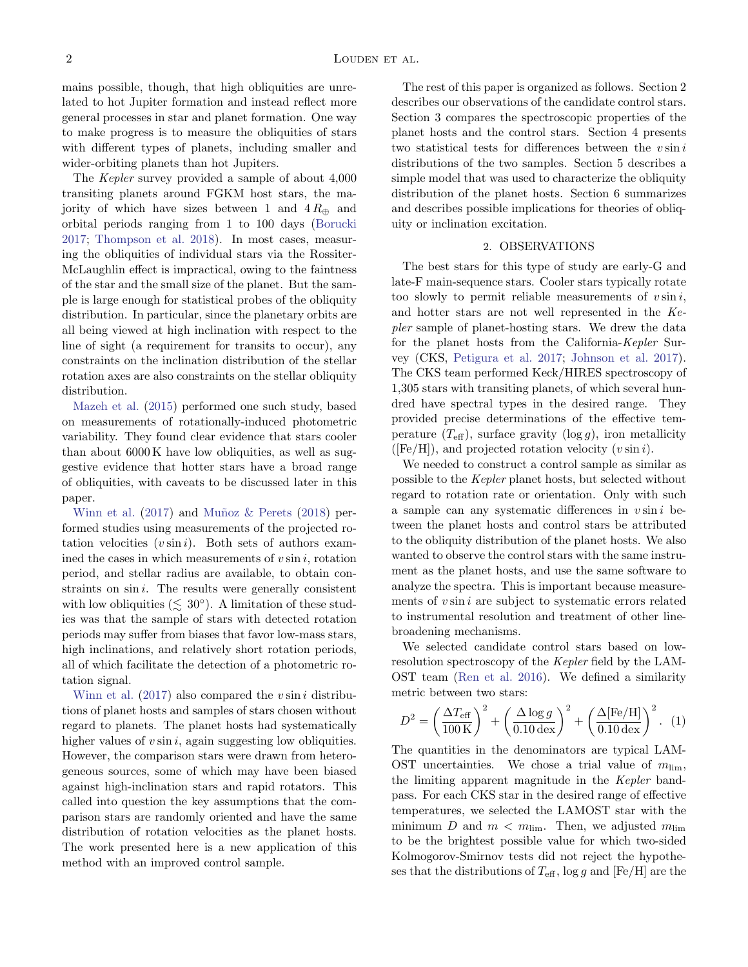mains possible, though, that high obliquities are unrelated to hot Jupiter formation and instead reflect more general processes in star and planet formation. One way to make progress is to measure the obliquities of stars with different types of planets, including smaller and wider-orbiting planets than hot Jupiters.

The Kepler survey provided a sample of about 4,000 transiting planets around FGKM host stars, the majority of which have sizes between 1 and  $4 R_{\oplus}$  and orbital periods ranging from 1 to 100 days [\(Borucki](#page-13-2) [2017;](#page-13-2) [Thompson et al.](#page-14-4) [2018\)](#page-14-4). In most cases, measuring the obliquities of individual stars via the Rossiter-McLaughlin effect is impractical, owing to the faintness of the star and the small size of the planet. But the sample is large enough for statistical probes of the obliquity distribution. In particular, since the planetary orbits are all being viewed at high inclination with respect to the line of sight (a requirement for transits to occur), any constraints on the inclination distribution of the stellar rotation axes are also constraints on the stellar obliquity distribution.

[Mazeh et al.](#page-13-3) [\(2015\)](#page-13-3) performed one such study, based on measurements of rotationally-induced photometric variability. They found clear evidence that stars cooler than about 6000 K have low obliquities, as well as suggestive evidence that hotter stars have a broad range of obliquities, with caveats to be discussed later in this paper.

[Winn et al.](#page-14-5)  $(2017)$  and Muñoz & Perets  $(2018)$  performed studies using measurements of the projected rotation velocities  $(v \sin i)$ . Both sets of authors examined the cases in which measurements of  $v \sin i$ , rotation period, and stellar radius are available, to obtain constraints on  $\sin i$ . The results were generally consistent with low obliquities  $(\leq 30^{\circ})$ . A limitation of these studies was that the sample of stars with detected rotation periods may suffer from biases that favor low-mass stars, high inclinations, and relatively short rotation periods, all of which facilitate the detection of a photometric rotation signal.

[Winn et al.](#page-14-5)  $(2017)$  also compared the v sin i distributions of planet hosts and samples of stars chosen without regard to planets. The planet hosts had systematically higher values of  $v \sin i$ , again suggesting low obliquities. However, the comparison stars were drawn from heterogeneous sources, some of which may have been biased against high-inclination stars and rapid rotators. This called into question the key assumptions that the comparison stars are randomly oriented and have the same distribution of rotation velocities as the planet hosts. The work presented here is a new application of this method with an improved control sample.

The rest of this paper is organized as follows. Section 2 describes our observations of the candidate control stars. Section 3 compares the spectroscopic properties of the planet hosts and the control stars. Section 4 presents two statistical tests for differences between the  $v \sin i$ distributions of the two samples. Section 5 describes a simple model that was used to characterize the obliquity distribution of the planet hosts. Section 6 summarizes and describes possible implications for theories of obliquity or inclination excitation.

# 2. OBSERVATIONS

The best stars for this type of study are early-G and late-F main-sequence stars. Cooler stars typically rotate too slowly to permit reliable measurements of  $v \sin i$ , and hotter stars are not well represented in the Kepler sample of planet-hosting stars. We drew the data for the planet hosts from the California-Kepler Survey (CKS, [Petigura et al.](#page-14-7) [2017;](#page-14-7) [Johnson et al.](#page-13-4) [2017\)](#page-13-4). The CKS team performed Keck/HIRES spectroscopy of 1,305 stars with transiting planets, of which several hundred have spectral types in the desired range. They provided precise determinations of the effective temperature  $(T_{\text{eff}})$ , surface gravity  $(\log g)$ , iron metallicity ( $[Fe/H]$ ), and projected rotation velocity  $(v \sin i)$ .

We needed to construct a control sample as similar as possible to the Kepler planet hosts, but selected without regard to rotation rate or orientation. Only with such a sample can any systematic differences in  $v \sin i$  between the planet hosts and control stars be attributed to the obliquity distribution of the planet hosts. We also wanted to observe the control stars with the same instrument as the planet hosts, and use the same software to analyze the spectra. This is important because measurements of  $v \sin i$  are subject to systematic errors related to instrumental resolution and treatment of other linebroadening mechanisms.

We selected candidate control stars based on lowresolution spectroscopy of the Kepler field by the LAM-OST team [\(Ren et al.](#page-14-8) [2016\)](#page-14-8). We defined a similarity metric between two stars:

$$
D^{2} = \left(\frac{\Delta T_{\text{eff}}}{100 \text{ K}}\right)^{2} + \left(\frac{\Delta \log g}{0.10 \text{ dex}}\right)^{2} + \left(\frac{\Delta \text{[Fe/H]}}{0.10 \text{ dex}}\right)^{2}.
$$
 (1)

The quantities in the denominators are typical LAM-OST uncertainties. We chose a trial value of  $m_{\text{lim}}$ , the limiting apparent magnitude in the Kepler bandpass. For each CKS star in the desired range of effective temperatures, we selected the LAMOST star with the minimum D and  $m < m$ lim. Then, we adjusted  $m$ lim to be the brightest possible value for which two-sided Kolmogorov-Smirnov tests did not reject the hypotheses that the distributions of  $T_{\text{eff}}$ , log g and [Fe/H] are the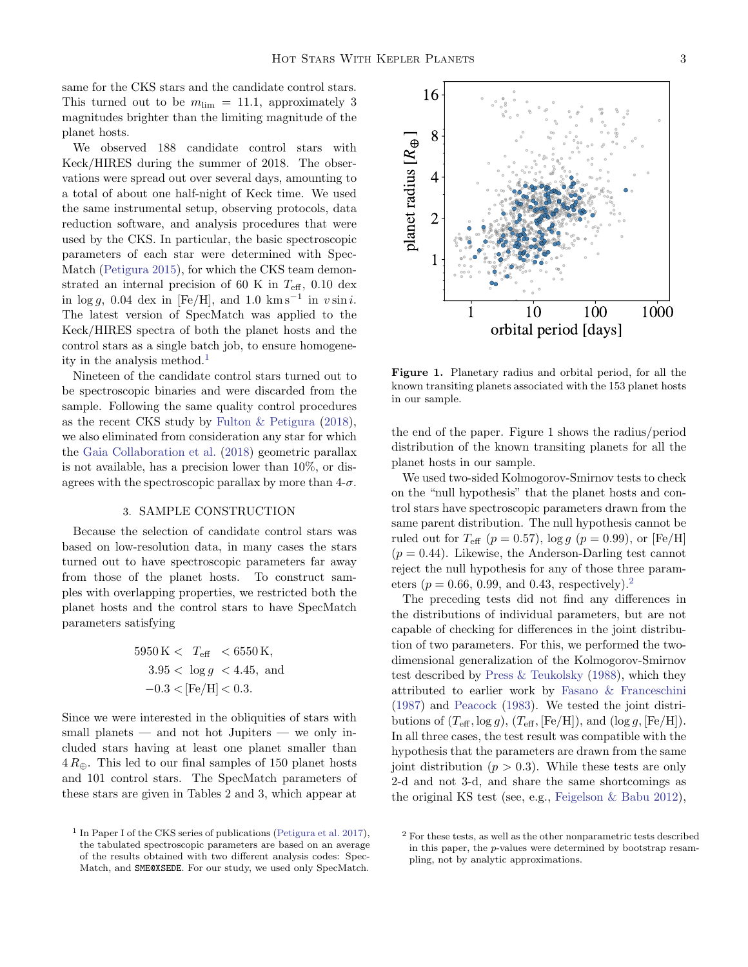same for the CKS stars and the candidate control stars. This turned out to be  $m_{\text{lim}} = 11.1$ , approximately 3 magnitudes brighter than the limiting magnitude of the planet hosts.

We observed 188 candidate control stars with Keck/HIRES during the summer of 2018. The observations were spread out over several days, amounting to a total of about one half-night of Keck time. We used the same instrumental setup, observing protocols, data reduction software, and analysis procedures that were used by the CKS. In particular, the basic spectroscopic parameters of each star were determined with Spec-Match [\(Petigura](#page-14-9) [2015\)](#page-14-9), for which the CKS team demonstrated an internal precision of 60 K in  $T_{\text{eff}}$ , 0.10 dex in  $\log g$ , 0.04 dex in [Fe/H], and 1.0 km s<sup>-1</sup> in v sin i. The latest version of SpecMatch was applied to the Keck/HIRES spectra of both the planet hosts and the control stars as a single batch job, to ensure homogene-ity in the analysis method.<sup>[1](#page-2-0)</sup>

Nineteen of the candidate control stars turned out to be spectroscopic binaries and were discarded from the sample. Following the same quality control procedures as the recent CKS study by [Fulton & Petigura](#page-13-5) [\(2018\)](#page-13-5), we also eliminated from consideration any star for which the [Gaia Collaboration et al.](#page-13-6) [\(2018\)](#page-13-6) geometric parallax is not available, has a precision lower than 10%, or disagrees with the spectroscopic parallax by more than  $4-\sigma$ .

### 3. SAMPLE CONSTRUCTION

Because the selection of candidate control stars was based on low-resolution data, in many cases the stars turned out to have spectroscopic parameters far away from those of the planet hosts. To construct samples with overlapping properties, we restricted both the planet hosts and the control stars to have SpecMatch parameters satisfying

$$
5950 \text{ K} < T_{\text{eff}} < 6550 \text{ K},
$$
\n
$$
3.95 < \log g < 4.45, \text{ and}
$$
\n
$$
-0.3 < [\text{Fe/H}] < 0.3.
$$

Since we were interested in the obliquities of stars with small planets — and not hot Jupiters — we only included stars having at least one planet smaller than  $4 R_{\oplus}$ . This led to our final samples of 150 planet hosts and 101 control stars. The SpecMatch parameters of these stars are given in Tables 2 and 3, which appear at



Figure 1. Planetary radius and orbital period, for all the known transiting planets associated with the 153 planet hosts in our sample.

the end of the paper. Figure 1 shows the radius/period distribution of the known transiting planets for all the planet hosts in our sample.

We used two-sided Kolmogorov-Smirnov tests to check on the "null hypothesis" that the planet hosts and control stars have spectroscopic parameters drawn from the same parent distribution. The null hypothesis cannot be ruled out for  $T_{\text{eff}}$  ( $p = 0.57$ ), log  $q$  ( $p = 0.99$ ), or [Fe/H]  $(p = 0.44)$ . Likewise, the Anderson-Darling test cannot reject the null hypothesis for any of those three parameters ( $p = 0.66, 0.99, \text{ and } 0.43, \text{ respectively.}^2$  $p = 0.66, 0.99, \text{ and } 0.43, \text{ respectively.}^2$ )

The preceding tests did not find any differences in the distributions of individual parameters, but are not capable of checking for differences in the joint distribution of two parameters. For this, we performed the twodimensional generalization of the Kolmogorov-Smirnov test described by [Press & Teukolsky](#page-14-10) [\(1988\)](#page-14-10), which they attributed to earlier work by [Fasano & Franceschini](#page-13-7) [\(1987\)](#page-13-7) and [Peacock](#page-14-11) [\(1983\)](#page-14-11). We tested the joint distributions of  $(T_{\text{eff}}, \log g)$ ,  $(T_{\text{eff}}, [Fe/H])$ , and  $(\log g, [Fe/H])$ . In all three cases, the test result was compatible with the hypothesis that the parameters are drawn from the same joint distribution  $(p > 0.3)$ . While these tests are only 2-d and not 3-d, and share the same shortcomings as the original KS test (see, e.g., [Feigelson & Babu](#page-13-8) [2012\)](#page-13-8),

<span id="page-2-0"></span><sup>&</sup>lt;sup>1</sup> In Paper I of the CKS series of publications [\(Petigura et al.](#page-14-7) [2017\)](#page-14-7), the tabulated spectroscopic parameters are based on an average of the results obtained with two different analysis codes: Spec-Match, and SME@XSEDE. For our study, we used only SpecMatch.

<span id="page-2-1"></span><sup>2</sup> For these tests, as well as the other nonparametric tests described in this paper, the p-values were determined by bootstrap resampling, not by analytic approximations.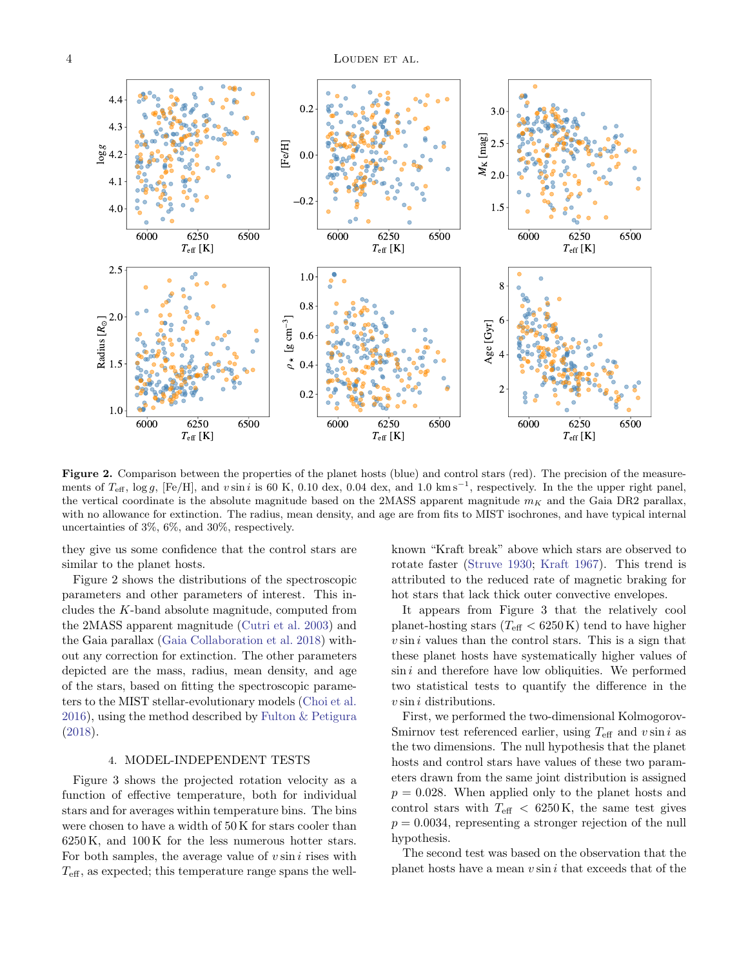

Figure 2. Comparison between the properties of the planet hosts (blue) and control stars (red). The precision of the measurements of  $T_{\text{eff}}$ , log g, [Fe/H], and vsin i is 60 K, 0.10 dex, 0.04 dex, and 1.0 km s<sup>-1</sup>, respectively. In the the upper right panel, the vertical coordinate is the absolute magnitude based on the 2MASS apparent magnitude  $m<sub>K</sub>$  and the Gaia DR2 parallax, with no allowance for extinction. The radius, mean density, and age are from fits to MIST isochrones, and have typical internal uncertainties of 3%, 6%, and 30%, respectively.

they give us some confidence that the control stars are similar to the planet hosts.

Figure 2 shows the distributions of the spectroscopic parameters and other parameters of interest. This includes the K-band absolute magnitude, computed from the 2MASS apparent magnitude [\(Cutri et al.](#page-13-9) [2003\)](#page-13-9) and the Gaia parallax [\(Gaia Collaboration et al.](#page-13-6) [2018\)](#page-13-6) without any correction for extinction. The other parameters depicted are the mass, radius, mean density, and age of the stars, based on fitting the spectroscopic parameters to the MIST stellar-evolutionary models [\(Choi et al.](#page-13-10) [2016\)](#page-13-10), using the method described by [Fulton & Petigura](#page-13-5) [\(2018\)](#page-13-5).

## 4. MODEL-INDEPENDENT TESTS

Figure 3 shows the projected rotation velocity as a function of effective temperature, both for individual stars and for averages within temperature bins. The bins were chosen to have a width of 50 K for stars cooler than 6250 K, and 100 K for the less numerous hotter stars. For both samples, the average value of  $v \sin i$  rises with  $T_{\text{eff}}$ , as expected; this temperature range spans the wellknown "Kraft break" above which stars are observed to rotate faster [\(Struve](#page-14-12) [1930;](#page-14-12) [Kraft](#page-13-11) [1967\)](#page-13-11). This trend is attributed to the reduced rate of magnetic braking for hot stars that lack thick outer convective envelopes.

It appears from Figure 3 that the relatively cool planet-hosting stars  $(T_{\text{eff}} < 6250 \text{ K})$  tend to have higher  $v \sin i$  values than the control stars. This is a sign that these planet hosts have systematically higher values of  $\sin i$  and therefore have low obliquities. We performed two statistical tests to quantify the difference in the  $v \sin i$  distributions.

First, we performed the two-dimensional Kolmogorov-Smirnov test referenced earlier, using  $T_{\text{eff}}$  and  $v \sin i$  as the two dimensions. The null hypothesis that the planet hosts and control stars have values of these two parameters drawn from the same joint distribution is assigned  $p = 0.028$ . When applied only to the planet hosts and control stars with  $T_{\text{eff}}$  < 6250 K, the same test gives  $p = 0.0034$ , representing a stronger rejection of the null hypothesis.

The second test was based on the observation that the planet hosts have a mean  $v \sin i$  that exceeds that of the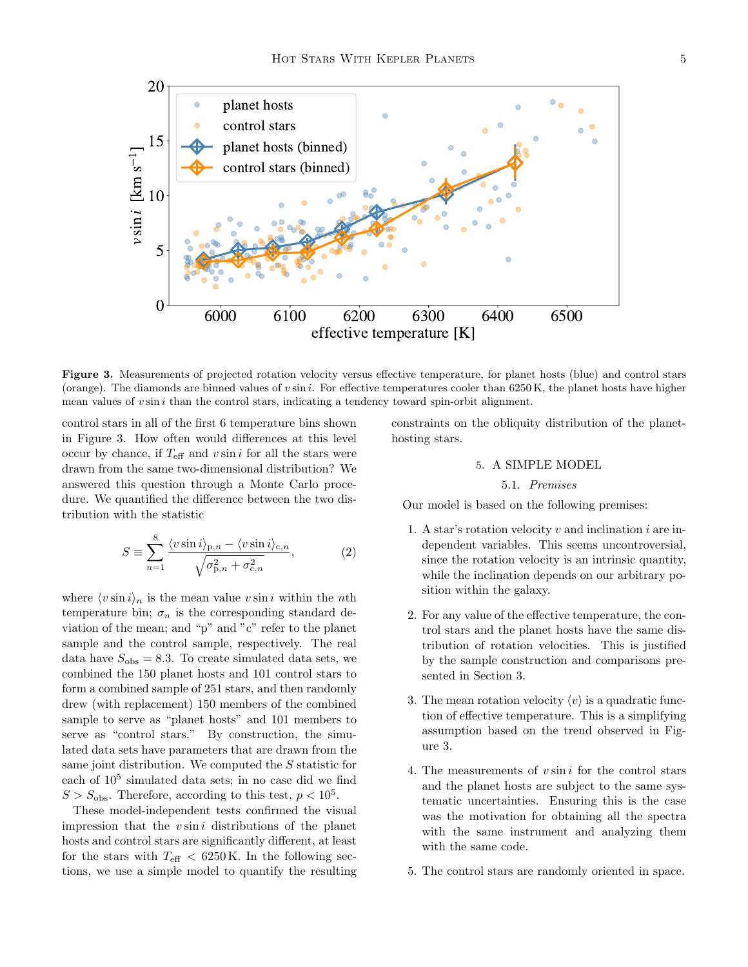

Figure 3. Measurements of projected rotation velocity versus effective temperature, for planet hosts (blue) and control stars (orange). The diamonds are binned values of  $v \sin i$ . For effective temperatures cooler than 6250 K, the planet hosts have higher mean values of  $v \sin i$  than the control stars, indicating a tendency toward spin-orbit alignment.

control stars in all of the first 6 temperature bins shown in Figure 3. How often would differences at this level occur by chance, if  $T_{\text{eff}}$  and  $v \sin i$  for all the stars were drawn from the same two-dimensional distribution? We answered this question through a Monte Carlo procedure. We quantified the difference between the two distribution with the statistic

$$
S \equiv \sum_{n=1}^{8} \frac{\langle v \sin i \rangle_{\mathbf{p},n} - \langle v \sin i \rangle_{\mathbf{c},n}}{\sqrt{\sigma_{\mathbf{p},n}^2 + \sigma_{\mathbf{c},n}^2}},\tag{2}
$$

where  $\langle v \sin i \rangle_n$  is the mean value v sin i within the nth temperature bin;  $\sigma_n$  is the corresponding standard deviation of the mean; and "p" and "c" refer to the planet sample and the control sample, respectively. The real data have  $S_{\text{obs}} = 8.3$ . To create simulated data sets, we combined the 150 planet hosts and 101 control stars to form a combined sample of 251 stars, and then randomly drew (with replacement) 150 members of the combined sample to serve as "planet hosts" and 101 members to serve as "control stars." By construction, the simulated data sets have parameters that are drawn from the same joint distribution. We computed the S statistic for each of  $10^5$  simulated data sets; in no case did we find  $S > S_{\text{obs}}$ . Therefore, according to this test,  $p < 10^5$ .

These model-independent tests confirmed the visual impression that the  $v \sin i$  distributions of the planet hosts and control stars are significantly different, at least for the stars with  $T_{\text{eff}} < 6250 \text{ K}$ . In the following sections, we use a simple model to quantify the resulting constraints on the obliquity distribution of the planethosting stars.

# 5. A SIMPLE MODEL

## 5.1. Premises

Our model is based on the following premises:

- 1. A star's rotation velocity  $v$  and inclination  $i$  are independent variables. This seems uncontroversial, since the rotation velocity is an intrinsic quantity, while the inclination depends on our arbitrary position within the galaxy.
- 2. For any value of the effective temperature, the control stars and the planet hosts have the same distribution of rotation velocities. This is justified by the sample construction and comparisons presented in Section 3.
- 3. The mean rotation velocity  $\langle v \rangle$  is a quadratic function of effective temperature. This is a simplifying assumption based on the trend observed in Figure 3.
- 4. The measurements of  $v \sin i$  for the control stars and the planet hosts are subject to the same systematic uncertainties. Ensuring this is the case was the motivation for obtaining all the spectra with the same instrument and analyzing them with the same code.
- 5. The control stars are randomly oriented in space.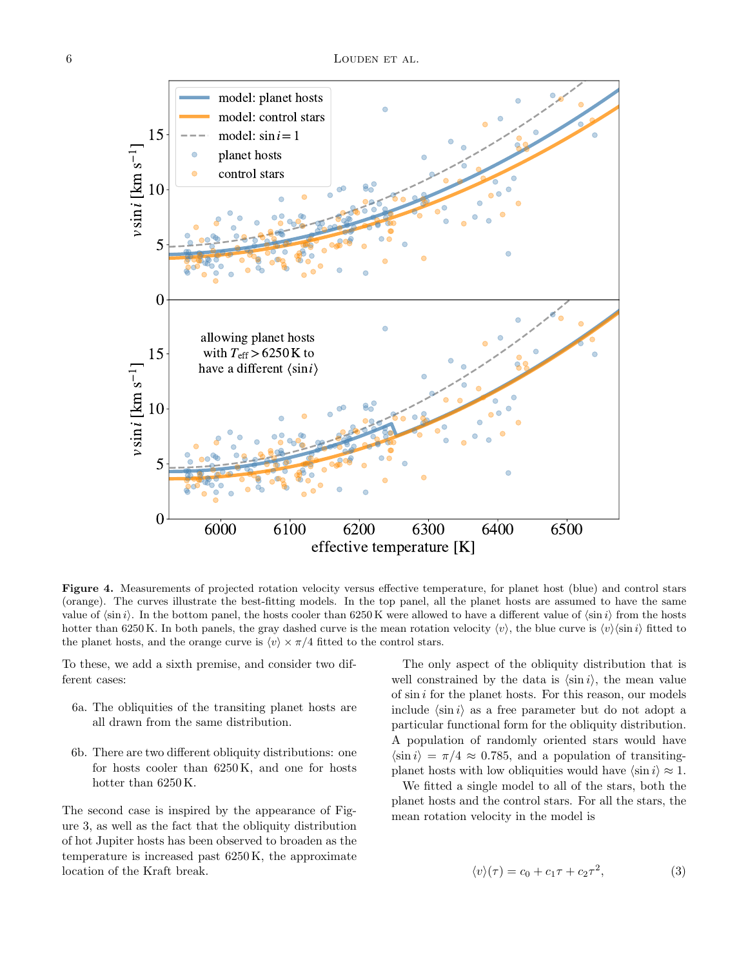

Figure 4. Measurements of projected rotation velocity versus effective temperature, for planet host (blue) and control stars (orange). The curves illustrate the best-fitting models. In the top panel, all the planet hosts are assumed to have the same value of  $\langle \sin i \rangle$ . In the bottom panel, the hosts cooler than 6250 K were allowed to have a different value of  $\langle \sin i \rangle$  from the hosts hotter than 6250 K. In both panels, the gray dashed curve is the mean rotation velocity  $\langle v \rangle$ , the blue curve is  $\langle v \rangle \langle \sin i \rangle$  fitted to the planet hosts, and the orange curve is  $\langle v \rangle \times \pi/4$  fitted to the control stars.

To these, we add a sixth premise, and consider two different cases:

- 6a. The obliquities of the transiting planet hosts are all drawn from the same distribution.
- 6b. There are two different obliquity distributions: one for hosts cooler than 6250 K, and one for hosts hotter than 6250 K.

The second case is inspired by the appearance of Figure 3, as well as the fact that the obliquity distribution of hot Jupiter hosts has been observed to broaden as the temperature is increased past 6250 K, the approximate location of the Kraft break.

The only aspect of the obliquity distribution that is well constrained by the data is  $\langle \sin i \rangle$ , the mean value of  $\sin i$  for the planet hosts. For this reason, our models include  $\langle \sin i \rangle$  as a free parameter but do not adopt a particular functional form for the obliquity distribution. A population of randomly oriented stars would have  $\langle \sin i \rangle = \pi/4 \approx 0.785$ , and a population of transitingplanet hosts with low obliquities would have  $\langle \sin i \rangle \approx 1$ .

We fitted a single model to all of the stars, both the planet hosts and the control stars. For all the stars, the mean rotation velocity in the model is

$$
\langle v \rangle(\tau) = c_0 + c_1 \tau + c_2 \tau^2,\tag{3}
$$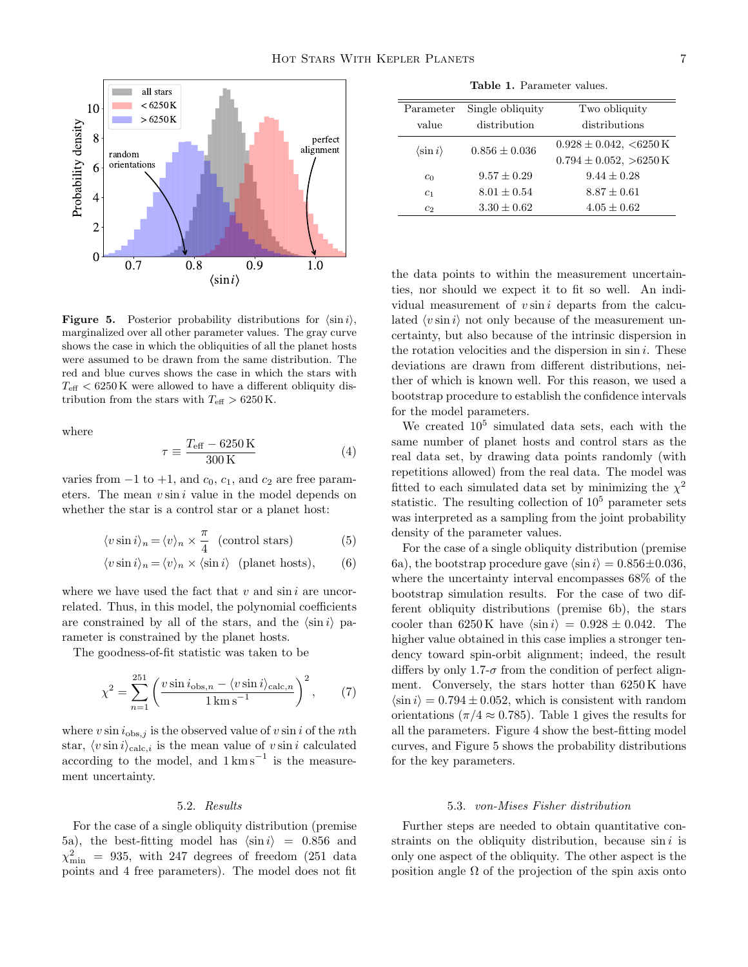

**Figure 5.** Posterior probability distributions for  $\langle \sin i \rangle$ , marginalized over all other parameter values. The gray curve shows the case in which the obliquities of all the planet hosts were assumed to be drawn from the same distribution. The red and blue curves shows the case in which the stars with  $T_{\text{eff}}$  < 6250 K were allowed to have a different obliquity distribution from the stars with  $T_{\text{eff}} > 6250 \text{ K}.$ 

where

$$
\tau \equiv \frac{T_{\text{eff}} - 6250 \text{ K}}{300 \text{ K}} \tag{4}
$$

varies from  $-1$  to  $+1$ , and  $c_0$ ,  $c_1$ , and  $c_2$  are free parameters. The mean  $v \sin i$  value in the model depends on whether the star is a control star or a planet host:

$$
\langle v \sin i \rangle_n = \langle v \rangle_n \times \frac{\pi}{4} \quad \text{(control stars)} \tag{5}
$$

$$
\langle v \sin i \rangle_n = \langle v \rangle_n \times \langle \sin i \rangle \quad \text{(planet hosts)}, \tag{6}
$$

where we have used the fact that  $v$  and  $\sin i$  are uncorrelated. Thus, in this model, the polynomial coefficients are constrained by all of the stars, and the  $\langle \sin i \rangle$  parameter is constrained by the planet hosts.

The goodness-of-fit statistic was taken to be

$$
\chi^2 = \sum_{n=1}^{251} \left( \frac{v \sin i_{\text{obs},n} - \langle v \sin i \rangle_{\text{calc},n}}{1 \,\text{km s}^{-1}} \right)^2, \qquad (7)
$$

where  $v \sin i_{\text{obs},j}$  is the observed value of  $v \sin i$  of the nth star,  $\langle v \sin i \rangle_{\text{calc},i}$  is the mean value of  $v \sin i$  calculated according to the model, and  $1 \text{ km s}^{-1}$  is the measurement uncertainty.

## 5.2. Results

For the case of a single obliquity distribution (premise 5a), the best-fitting model has  $\langle \sin i \rangle = 0.856$  and  $\chi^2_{\rm min}$  = 935, with 247 degrees of freedom (251 data points and 4 free parameters). The model does not fit

Table 1. Parameter values.

| Parameter                | Single obliquity  | Two obliquity                 |
|--------------------------|-------------------|-------------------------------|
| value                    | distribution      | distributions                 |
| $\langle \sin i \rangle$ | $0.856 \pm 0.036$ | $0.928 \pm 0.042$ , <6250 K   |
|                          |                   | $0.794 \pm 0.052$ , $>6250$ K |
| c <sub>0</sub>           | $9.57 + 0.29$     | $9.44 + 0.28$                 |
| c <sub>1</sub>           | $8.01 + 0.54$     | $8.87 + 0.61$                 |
| c <sub>2</sub>           | $3.30 + 0.62$     | $4.05 + 0.62$                 |

the data points to within the measurement uncertainties, nor should we expect it to fit so well. An individual measurement of  $v \sin i$  departs from the calculated  $\langle v \sin i \rangle$  not only because of the measurement uncertainty, but also because of the intrinsic dispersion in the rotation velocities and the dispersion in  $\sin i$ . These deviations are drawn from different distributions, neither of which is known well. For this reason, we used a bootstrap procedure to establish the confidence intervals for the model parameters.

We created  $10^5$  simulated data sets, each with the same number of planet hosts and control stars as the real data set, by drawing data points randomly (with repetitions allowed) from the real data. The model was fitted to each simulated data set by minimizing the  $\chi^2$ statistic. The resulting collection of  $10<sup>5</sup>$  parameter sets was interpreted as a sampling from the joint probability density of the parameter values.

For the case of a single obliquity distribution (premise 6a), the bootstrap procedure gave  $\langle \sin i \rangle = 0.856 \pm 0.036$ , where the uncertainty interval encompasses 68% of the bootstrap simulation results. For the case of two different obliquity distributions (premise 6b), the stars cooler than 6250 K have  $\langle \sin i \rangle = 0.928 \pm 0.042$ . The higher value obtained in this case implies a stronger tendency toward spin-orbit alignment; indeed, the result differs by only 1.7- $\sigma$  from the condition of perfect alignment. Conversely, the stars hotter than 6250 K have  $\langle \sin i \rangle = 0.794 \pm 0.052$ , which is consistent with random orientations ( $\pi/4 \approx 0.785$ ). Table 1 gives the results for all the parameters. Figure 4 show the best-fitting model curves, and Figure 5 shows the probability distributions for the key parameters.

### 5.3. von-Mises Fisher distribution

Further steps are needed to obtain quantitative constraints on the obliquity distribution, because  $\sin i$  is only one aspect of the obliquity. The other aspect is the position angle  $\Omega$  of the projection of the spin axis onto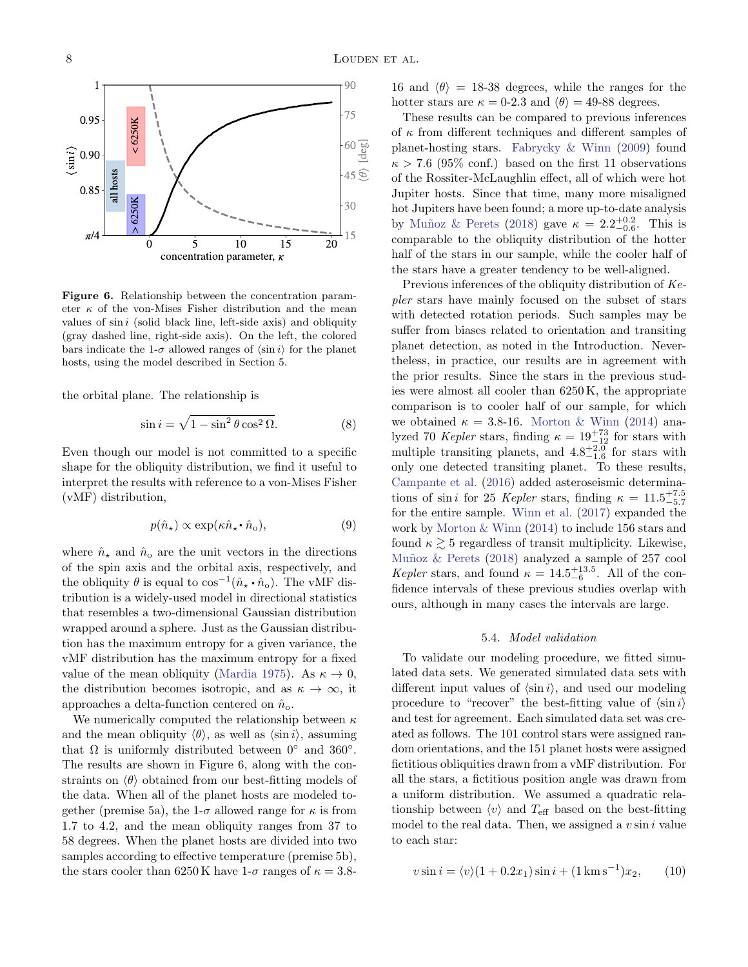

Figure 6. Relationship between the concentration parameter  $\kappa$  of the von-Mises Fisher distribution and the mean values of  $sin i$  (solid black line, left-side axis) and obliquity (gray dashed line, right-side axis). On the left, the colored bars indicate the 1- $\sigma$  allowed ranges of  $\langle \sin i \rangle$  for the planet hosts, using the model described in Section 5.

the orbital plane. The relationship is

$$
\sin i = \sqrt{1 - \sin^2 \theta \cos^2 \Omega}.
$$
 (8)

Even though our model is not committed to a specific shape for the obliquity distribution, we find it useful to interpret the results with reference to a von-Mises Fisher (vMF) distribution,

$$
p(\hat{n}_{\star}) \propto \exp(\kappa \hat{n}_{\star} \cdot \hat{n}_{o}), \tag{9}
$$

where  $\hat{n}_{\star}$  and  $\hat{n}_{o}$  are the unit vectors in the directions of the spin axis and the orbital axis, respectively, and the obliquity  $\theta$  is equal to  $\cos^{-1}(\hat{n}_{\star} \cdot \hat{n}_{o})$ . The vMF distribution is a widely-used model in directional statistics that resembles a two-dimensional Gaussian distribution wrapped around a sphere. Just as the Gaussian distribution has the maximum entropy for a given variance, the vMF distribution has the maximum entropy for a fixed value of the mean obliquity [\(Mardia](#page-13-12) [1975\)](#page-13-12). As  $\kappa \to 0$ , the distribution becomes isotropic, and as  $\kappa \to \infty$ , it approaches a delta-function centered on  $\hat{n}_{o}$ .

We numerically computed the relationship between  $\kappa$ and the mean obliquity  $\langle \theta \rangle$ , as well as  $\langle \sin i \rangle$ , assuming that  $\Omega$  is uniformly distributed between  $0^{\circ}$  and  $360^{\circ}$ . The results are shown in Figure 6, along with the constraints on  $\langle \theta \rangle$  obtained from our best-fitting models of the data. When all of the planet hosts are modeled together (premise 5a), the 1- $\sigma$  allowed range for  $\kappa$  is from 1.7 to 4.2, and the mean obliquity ranges from 37 to 58 degrees. When the planet hosts are divided into two samples according to effective temperature (premise 5b), the stars cooler than 6250 K have  $1-\sigma$  ranges of  $\kappa = 3.8$ - 16 and  $\langle \theta \rangle$  = 18-38 degrees, while the ranges for the hotter stars are  $\kappa = 0.2.3$  and  $\langle \theta \rangle = 49.88$  degrees.

These results can be compared to previous inferences of  $\kappa$  from different techniques and different samples of planet-hosting stars. [Fabrycky & Winn](#page-13-0) [\(2009\)](#page-13-0) found  $\kappa > 7.6$  (95% conf.) based on the first 11 observations of the Rossiter-McLaughlin effect, all of which were hot Jupiter hosts. Since that time, many more misaligned hot Jupiters have been found; a more up-to-date analysis by Muñoz & Perets [\(2018\)](#page-14-6) gave  $\kappa = 2.2^{+0.2}_{-0.6}$ . This is comparable to the obliquity distribution of the hotter half of the stars in our sample, while the cooler half of the stars have a greater tendency to be well-aligned.

Previous inferences of the obliquity distribution of Kepler stars have mainly focused on the subset of stars with detected rotation periods. Such samples may be suffer from biases related to orientation and transiting planet detection, as noted in the Introduction. Nevertheless, in practice, our results are in agreement with the prior results. Since the stars in the previous studies were almost all cooler than 6250 K, the appropriate comparison is to cooler half of our sample, for which we obtained  $\kappa = 3.8\times16$ . [Morton & Winn](#page-13-13) [\(2014\)](#page-13-13) analyzed 70 Kepler stars, finding  $\kappa = 19^{+73}_{-12}$  for stars with multiple transiting planets, and  $4.8^{+2.0}_{-1.6}$  for stars with only one detected transiting planet. To these results, [Campante et al.](#page-13-14) [\(2016\)](#page-13-14) added asteroseismic determinations of sin *i* for 25 *Kepler* stars, finding  $\kappa = 11.5^{+7.5}_{-5.7}$ for the entire sample. [Winn et al.](#page-14-5) [\(2017\)](#page-14-5) expanded the work by [Morton & Winn](#page-13-13) [\(2014\)](#page-13-13) to include 156 stars and found  $\kappa \gtrsim 5$  regardless of transit multiplicity. Likewise, Muñoz & Perets [\(2018\)](#page-14-6) analyzed a sample of 257 cool Kepler stars, and found  $\kappa = 14.5^{+13.5}_{-6}$ . All of the confidence intervals of these previous studies overlap with ours, although in many cases the intervals are large.

### 5.4. Model validation

<span id="page-7-0"></span>To validate our modeling procedure, we fitted simulated data sets. We generated simulated data sets with different input values of  $\langle \sin i \rangle$ , and used our modeling procedure to "recover" the best-fitting value of  $\langle \sin i \rangle$ and test for agreement. Each simulated data set was created as follows. The 101 control stars were assigned random orientations, and the 151 planet hosts were assigned fictitious obliquities drawn from a vMF distribution. For all the stars, a fictitious position angle was drawn from a uniform distribution. We assumed a quadratic relationship between  $\langle v \rangle$  and  $T_{\text{eff}}$  based on the best-fitting model to the real data. Then, we assigned a  $v \sin i$  value to each star:

$$
v\sin i = \langle v \rangle (1 + 0.2x_1)\sin i + (1 \,\mathrm{km\,s}^{-1})x_2,\qquad(10)
$$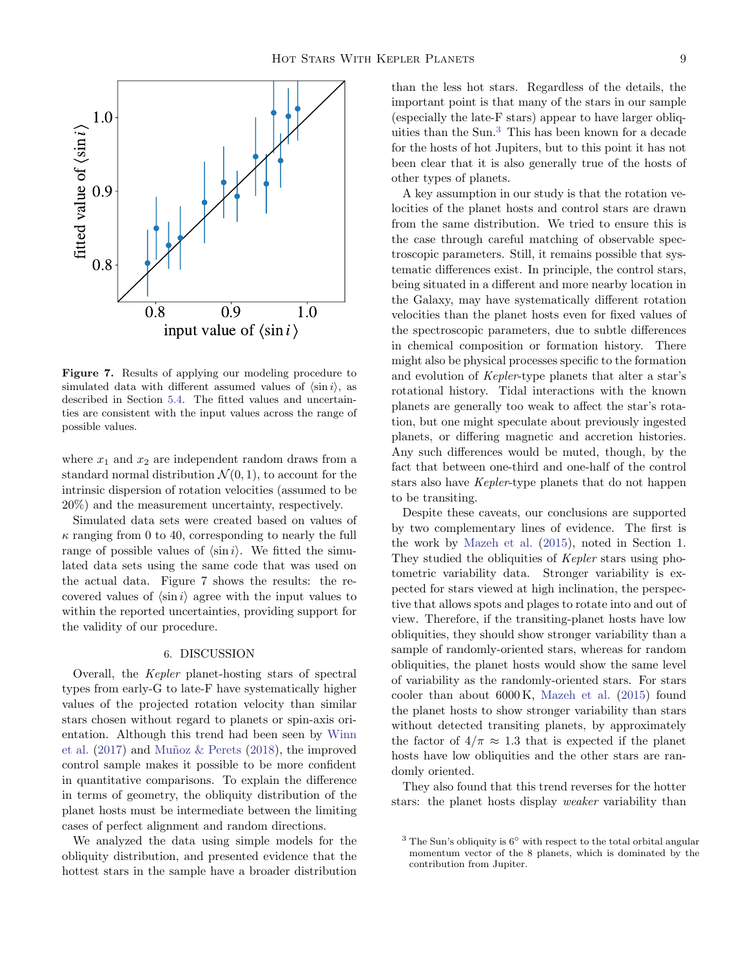

Figure 7. Results of applying our modeling procedure to simulated data with different assumed values of  $\langle \sin i \rangle$ , as described in Section [5.4.](#page-7-0) The fitted values and uncertainties are consistent with the input values across the range of possible values.

where  $x_1$  and  $x_2$  are independent random draws from a standard normal distribution  $\mathcal{N}(0,1)$ , to account for the intrinsic dispersion of rotation velocities (assumed to be 20%) and the measurement uncertainty, respectively.

Simulated data sets were created based on values of  $\kappa$  ranging from 0 to 40, corresponding to nearly the full range of possible values of  $\langle \sin i \rangle$ . We fitted the simulated data sets using the same code that was used on the actual data. Figure 7 shows the results: the recovered values of  $\langle \sin i \rangle$  agree with the input values to within the reported uncertainties, providing support for the validity of our procedure.

## 6. DISCUSSION

Overall, the Kepler planet-hosting stars of spectral types from early-G to late-F have systematically higher values of the projected rotation velocity than similar stars chosen without regard to planets or spin-axis orientation. Although this trend had been seen by [Winn](#page-14-5) [et al.](#page-14-5)  $(2017)$  and Muñoz & Perets  $(2018)$ , the improved control sample makes it possible to be more confident in quantitative comparisons. To explain the difference in terms of geometry, the obliquity distribution of the planet hosts must be intermediate between the limiting cases of perfect alignment and random directions.

We analyzed the data using simple models for the obliquity distribution, and presented evidence that the hottest stars in the sample have a broader distribution

than the less hot stars. Regardless of the details, the important point is that many of the stars in our sample (especially the late-F stars) appear to have larger obliquities than the Sun.[3](#page-8-0) This has been known for a decade for the hosts of hot Jupiters, but to this point it has not been clear that it is also generally true of the hosts of other types of planets.

A key assumption in our study is that the rotation velocities of the planet hosts and control stars are drawn from the same distribution. We tried to ensure this is the case through careful matching of observable spectroscopic parameters. Still, it remains possible that systematic differences exist. In principle, the control stars, being situated in a different and more nearby location in the Galaxy, may have systematically different rotation velocities than the planet hosts even for fixed values of the spectroscopic parameters, due to subtle differences in chemical composition or formation history. There might also be physical processes specific to the formation and evolution of Kepler-type planets that alter a star's rotational history. Tidal interactions with the known planets are generally too weak to affect the star's rotation, but one might speculate about previously ingested planets, or differing magnetic and accretion histories. Any such differences would be muted, though, by the fact that between one-third and one-half of the control stars also have Kepler-type planets that do not happen to be transiting.

Despite these caveats, our conclusions are supported by two complementary lines of evidence. The first is the work by [Mazeh et al.](#page-13-3) [\(2015\)](#page-13-3), noted in Section 1. They studied the obliquities of Kepler stars using photometric variability data. Stronger variability is expected for stars viewed at high inclination, the perspective that allows spots and plages to rotate into and out of view. Therefore, if the transiting-planet hosts have low obliquities, they should show stronger variability than a sample of randomly-oriented stars, whereas for random obliquities, the planet hosts would show the same level of variability as the randomly-oriented stars. For stars cooler than about 6000 K, [Mazeh et al.](#page-13-3) [\(2015\)](#page-13-3) found the planet hosts to show stronger variability than stars without detected transiting planets, by approximately the factor of  $4/\pi \approx 1.3$  that is expected if the planet hosts have low obliquities and the other stars are randomly oriented.

They also found that this trend reverses for the hotter stars: the planet hosts display weaker variability than

<span id="page-8-0"></span> $3$  The Sun's obliquity is  $6°$  with respect to the total orbital angular momentum vector of the 8 planets, which is dominated by the contribution from Jupiter.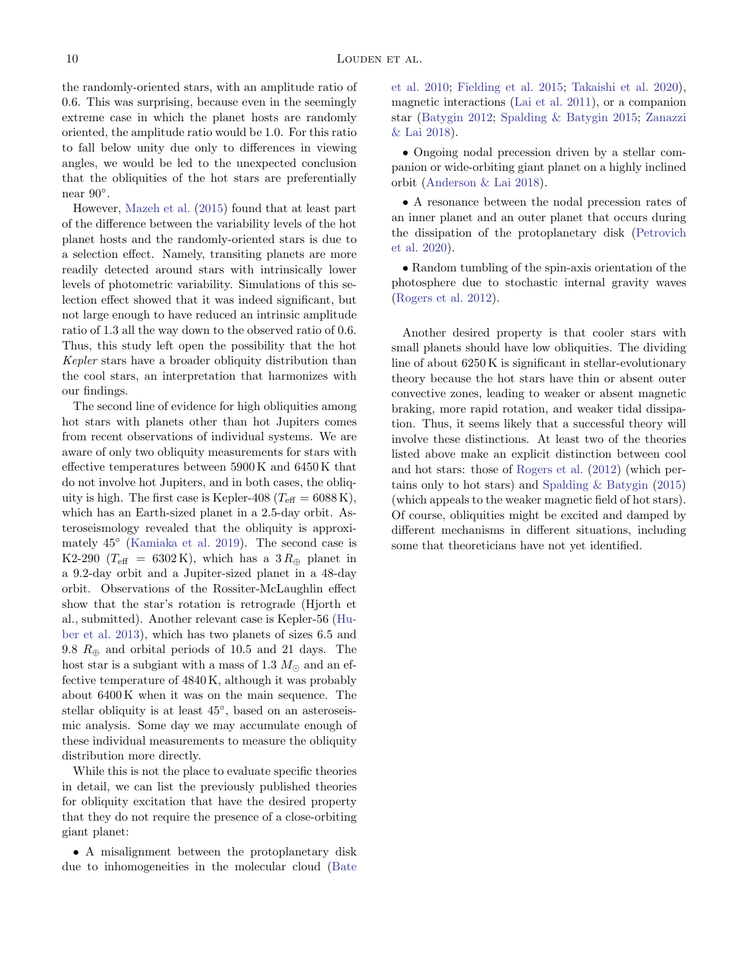the randomly-oriented stars, with an amplitude ratio of 0.6. This was surprising, because even in the seemingly extreme case in which the planet hosts are randomly oriented, the amplitude ratio would be 1.0. For this ratio to fall below unity due only to differences in viewing angles, we would be led to the unexpected conclusion that the obliquities of the hot stars are preferentially near 90◦ .

However, [Mazeh et al.](#page-13-3) [\(2015\)](#page-13-3) found that at least part of the difference between the variability levels of the hot planet hosts and the randomly-oriented stars is due to a selection effect. Namely, transiting planets are more readily detected around stars with intrinsically lower levels of photometric variability. Simulations of this selection effect showed that it was indeed significant, but not large enough to have reduced an intrinsic amplitude ratio of 1.3 all the way down to the observed ratio of 0.6. Thus, this study left open the possibility that the hot Kepler stars have a broader obliquity distribution than the cool stars, an interpretation that harmonizes with our findings.

The second line of evidence for high obliquities among hot stars with planets other than hot Jupiters comes from recent observations of individual systems. We are aware of only two obliquity measurements for stars with effective temperatures between 5900 K and 6450 K that do not involve hot Jupiters, and in both cases, the obliquity is high. The first case is Kepler-408 ( $T_{\text{eff}} = 6088 \text{ K}$ ), which has an Earth-sized planet in a 2.5-day orbit. Asteroseismology revealed that the obliquity is approximately 45◦ [\(Kamiaka et al.](#page-13-15) [2019\)](#page-13-15). The second case is K2-290 ( $T_{\text{eff}}$  = 6302 K), which has a 3  $R_{\oplus}$  planet in a 9.2-day orbit and a Jupiter-sized planet in a 48-day orbit. Observations of the Rossiter-McLaughlin effect show that the star's rotation is retrograde (Hjorth et al., submitted). Another relevant case is Kepler-56 [\(Hu](#page-13-16)[ber et al.](#page-13-16) [2013\)](#page-13-16), which has two planets of sizes 6.5 and 9.8  $R_{\oplus}$  and orbital periods of 10.5 and 21 days. The host star is a subgiant with a mass of 1.3  $M_{\odot}$  and an effective temperature of 4840 K, although it was probably about 6400 K when it was on the main sequence. The stellar obliquity is at least  $45^{\circ}$ , based on an asteroseismic analysis. Some day we may accumulate enough of these individual measurements to measure the obliquity distribution more directly.

While this is not the place to evaluate specific theories in detail, we can list the previously published theories for obliquity excitation that have the desired property that they do not require the presence of a close-orbiting giant planet:

• A misalignment between the protoplanetary disk due to inhomogeneities in the molecular cloud [\(Bate](#page-13-17) [et al.](#page-13-17) [2010;](#page-13-17) [Fielding et al.](#page-13-18) [2015;](#page-13-18) [Takaishi et al.](#page-14-13) [2020\)](#page-14-13), magnetic interactions [\(Lai et al.](#page-13-19) [2011\)](#page-13-19), or a companion star [\(Batygin](#page-13-20) [2012;](#page-13-20) [Spalding & Batygin](#page-14-14) [2015;](#page-14-14) [Zanazzi](#page-14-15) [& Lai](#page-14-15) [2018\)](#page-14-15).

• Ongoing nodal precession driven by a stellar companion or wide-orbiting giant planet on a highly inclined orbit [\(Anderson & Lai](#page-13-21) [2018\)](#page-13-21).

• A resonance between the nodal precession rates of an inner planet and an outer planet that occurs during the dissipation of the protoplanetary disk [\(Petrovich](#page-14-16) [et al.](#page-14-16) [2020\)](#page-14-16).

• Random tumbling of the spin-axis orientation of the photosphere due to stochastic internal gravity waves [\(Rogers et al.](#page-14-17) [2012\)](#page-14-17).

Another desired property is that cooler stars with small planets should have low obliquities. The dividing line of about 6250 K is significant in stellar-evolutionary theory because the hot stars have thin or absent outer convective zones, leading to weaker or absent magnetic braking, more rapid rotation, and weaker tidal dissipation. Thus, it seems likely that a successful theory will involve these distinctions. At least two of the theories listed above make an explicit distinction between cool and hot stars: those of [Rogers et al.](#page-14-17) [\(2012\)](#page-14-17) (which pertains only to hot stars) and [Spalding & Batygin](#page-14-14) [\(2015\)](#page-14-14) (which appeals to the weaker magnetic field of hot stars). Of course, obliquities might be excited and damped by different mechanisms in different situations, including some that theoreticians have not yet identified.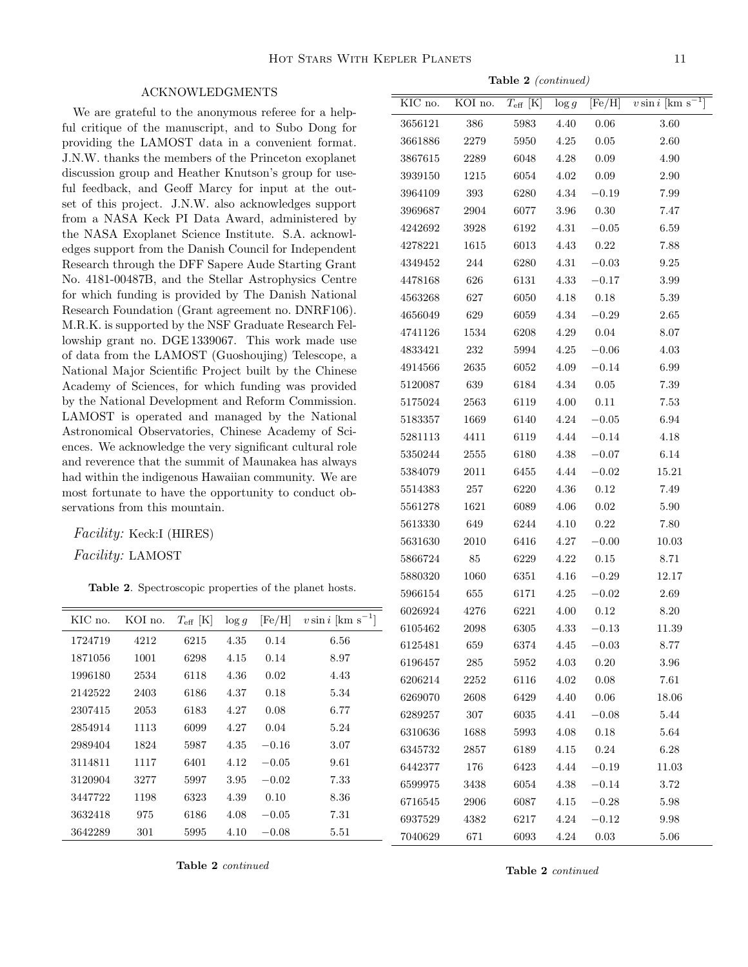### ACKNOWLEDGMENTS

We are grateful to the anonymous referee for a helpful critique of the manuscript, and to Subo Dong for providing the LAMOST data in a convenient format. J.N.W. thanks the members of the Princeton exoplanet discussion group and Heather Knutson's group for useful feedback, and Geoff Marcy for input at the outset of this project. J.N.W. also acknowledges support from a NASA Keck PI Data Award, administered by the NASA Exoplanet Science Institute. S.A. acknowledges support from the Danish Council for Independent Research through the DFF Sapere Aude Starting Grant No. 4181-00487B, and the Stellar Astrophysics Centre for which funding is provided by The Danish National Research Foundation (Grant agreement no. DNRF106). M.R.K. is supported by the NSF Graduate Research Fellowship grant no. DGE 1339067. This work made use of data from the LAMOST (Guoshoujing) Telescope, a National Major Scientific Project built by the Chinese Academy of Sciences, for which funding was provided by the National Development and Reform Commission. LAMOST is operated and managed by the National Astronomical Observatories, Chinese Academy of Sciences. We acknowledge the very significant cultural role and reverence that the summit of Maunakea has always had within the indigenous Hawaiian community. We are most fortunate to have the opportunity to conduct observations from this mountain.

Facility: Keck:I (HIRES)

Facility: LAMOST

Table 2. Spectroscopic properties of the planet hosts.

| KIC no. | KOI no. | $T_{\rm eff}$ [K] | $\log q$ | [Fe/H]  | $v \sin i$ [km s <sup>-1</sup> ] |
|---------|---------|-------------------|----------|---------|----------------------------------|
| 1724719 | 4212    | 6215              | 4.35     | 0.14    | 6.56                             |
| 1871056 | 1001    | 6298              | 4.15     | 0.14    | 8.97                             |
| 1996180 | 2534    | 6118              | 4.36     | 0.02    | 4.43                             |
| 2142522 | 2403    | 6186              | 4.37     | 0.18    | 5.34                             |
| 2307415 | 2053    | 6183              | 4.27     | 0.08    | 6.77                             |
| 2854914 | 1113    | 6099              | 4.27     | 0.04    | 5.24                             |
| 2989404 | 1824    | 5987              | 4.35     | $-0.16$ | 3.07                             |
| 3114811 | 1117    | 6401              | 4.12     | $-0.05$ | 9.61                             |
| 3120904 | 3277    | 5997              | 3.95     | $-0.02$ | 7.33                             |
| 3447722 | 1198    | 6323              | 4.39     | 0.10    | 8.36                             |
| 3632418 | 975     | 6186              | 4.08     | $-0.05$ | 7.31                             |
| 3642289 | 301     | 5995              | 4.10     | $-0.08$ | 5.51                             |

Table 2 continued

Table 2 continued

| Table 2 (continued) |          |                   |          |             |                                |  |  |  |
|---------------------|----------|-------------------|----------|-------------|--------------------------------|--|--|--|
| KIC no.             | KOI no.  | $T_{\rm eff}$ [K] | $\log g$ | [Fe/H]      | $v \sin i \text{ [km s}^{-1}]$ |  |  |  |
| 3656121             | 386      | 5983              | 4.40     | 0.06        | 3.60                           |  |  |  |
| 3661886             | 2279     | 5950              | 4.25     | 0.05        | 2.60                           |  |  |  |
| 3867615             | 2289     | 6048              | 4.28     | 0.09        | 4.90                           |  |  |  |
| 3939150             | 1215     | 6054              | 4.02     | 0.09        | 2.90                           |  |  |  |
| 3964109             | 393      | 6280              | 4.34     | $-0.19$     | 7.99                           |  |  |  |
| 3969687             | 2904     | 6077              | 3.96     | 0.30        | 7.47                           |  |  |  |
| 4242692             | 3928     | 6192              | 4.31     | $-0.05$     | 6.59                           |  |  |  |
| 4278221             | 1615     | 6013              | 4.43     | 0.22        | 7.88                           |  |  |  |
| 4349452             | 244      | 6280              | 4.31     | $-0.03$     | 9.25                           |  |  |  |
| 4478168             | 626      | 6131              | 4.33     | $-0.17$     | 3.99                           |  |  |  |
| 4563268             | 627      | 6050              | 4.18     | 0.18        | 5.39                           |  |  |  |
| 4656049             | 629      | 6059              | 4.34     | $-0.29$     | 2.65                           |  |  |  |
| 4741126             | 1534     | 6208              | 4.29     | 0.04        | 8.07                           |  |  |  |
| 4833421             | 232      | 5994              | 4.25     | $-0.06$     | 4.03                           |  |  |  |
| 4914566             | 2635     | 6052              | 4.09     | $\!-0.14\!$ | 6.99                           |  |  |  |
| 5120087             | 639      | 6184              | 4.34     | 0.05        | 7.39                           |  |  |  |
| 5175024             | 2563     | 6119              | 4.00     | 0.11        | 7.53                           |  |  |  |
| 5183357             | 1669     | 6140              | 4.24     | $-0.05$     | 6.94                           |  |  |  |
| 5281113             | 4411     | 6119              | 4.44     | $-0.14$     | 4.18                           |  |  |  |
| 5350244             | 2555     | 6180              | 4.38     | $-0.07$     | 6.14                           |  |  |  |
| 5384079             | $2011\,$ | 6455              | 4.44     | $-0.02$     | 15.21                          |  |  |  |
| 5514383             | 257      | 6220              | 4.36     | 0.12        | 7.49                           |  |  |  |
| 5561278             | 1621     | 6089              | 4.06     | 0.02        | 5.90                           |  |  |  |
| 5613330             | 649      | 6244              | 4.10     | 0.22        | 7.80                           |  |  |  |
| 5631630             | 2010     | 6416              | 4.27     | $-0.00$     | 10.03                          |  |  |  |
| 5866724             | 85       | 6229              | 4.22     | 0.15        | 8.71                           |  |  |  |
| 5880320             | 1060     | 6351              | 4.16     | $-0.29$     | 12.17                          |  |  |  |
| 5966154             | 655      | 6171              | 4.25     | $-0.02$     | 2.69                           |  |  |  |
| 6026924             | 4276     | 6221              | 4.00     | 0.12        | 8.20                           |  |  |  |
| 6105462             | 2098     | 6305              | 4.33     | $-0.13$     | 11.39                          |  |  |  |
| 6125481             | 659      | 6374              | 4.45     | $-0.03$     | 8.77                           |  |  |  |
| 6196457             | 285      | 5952              | 4.03     | 0.20        | 3.96                           |  |  |  |
| 6206214             | 2252     | 6116              | 4.02     | 0.08        | $7.61\,$                       |  |  |  |
| 6269070             | 2608     | 6429              | 4.40     | $0.06\,$    | 18.06                          |  |  |  |
| 6289257             | 307      | 6035              | 4.41     | $-0.08$     | 5.44                           |  |  |  |
| 6310636             | 1688     | 5993              | 4.08     | 0.18        | 5.64                           |  |  |  |
| 6345732             | 2857     | 6189              | 4.15     | 0.24        | 6.28                           |  |  |  |
| 6442377             | 176      | 6423              | 4.44     | $-0.19$     | 11.03                          |  |  |  |
| 6599975             | 3438     | 6054              | 4.38     | $-0.14$     | 3.72                           |  |  |  |
| 6716545             | 2906     | 6087              | 4.15     | $-0.28$     | 5.98                           |  |  |  |
| 6937529             | 4382     | 6217              | 4.24     | $-0.12$     | 9.98                           |  |  |  |
| 7040629             | 671      | 6093              | 4.24     | $\rm 0.03$  | 5.06                           |  |  |  |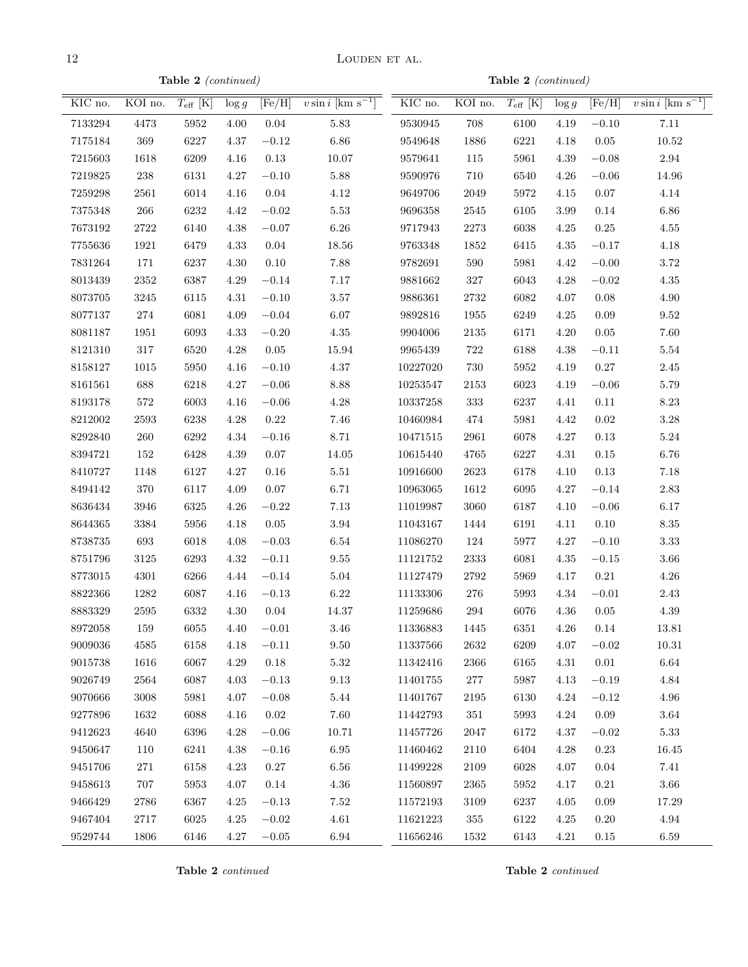$12$  LOUDEN ET AL.

Table 2 (continued)

Table 2 (continued)

| KIC no. | KOI no.  | $T_{\rm eff}$ [K] | $\log g$ |            | $\sqrt{\text{[Fe/H]}}$ vsini $\sqrt{\text{km s}^{-1}}$ | KIC no.                | KOI no. $T_{\text{eff}}$ [K] |          | $\log g$ | [Fe/H]      | $v \sin i$ [km s <sup>-1</sup> ] |
|---------|----------|-------------------|----------|------------|--------------------------------------------------------|------------------------|------------------------------|----------|----------|-------------|----------------------------------|
| 7133294 | 4473     | $5952\,$          | $4.00\,$ | $0.04\,$   | $5.83\,$                                               | 9530945                | 708                          | 6100     | 4.19     | $-0.10$     | 7.11                             |
| 7175184 | $369\,$  | 6227              | $4.37\,$ | $-0.12$    | $6.86\,$                                               | 9549648                | 1886                         | 6221     | 4.18     | $0.05\,$    | 10.52                            |
| 7215603 | 1618     | 6209              | $4.16\,$ | $\rm 0.13$ | $10.07\,$                                              | 9579641                | 115                          | 5961     | $4.39\,$ | $-0.08\,$   | 2.94                             |
| 7219825 | $238\,$  | 6131              | $4.27\,$ | $-0.10$    | $5.88\,$                                               | 9590976                | 710                          | 6540     | 4.26     | $\!-0.06$   | $14.96\,$                        |
| 7259298 | $2561\,$ | 6014              | $4.16\,$ | 0.04       | $4.12\,$                                               | 9649706                | 2049                         | 5972     | $4.15\,$ | $0.07\,$    | 4.14                             |
| 7375348 | $266\,$  | 6232              | $4.42\,$ | $-0.02$    | $5.53\,$                                               | 9696358                | 2545                         | 6105     | 3.99     | $0.14\,$    | 6.86                             |
| 7673192 | $2722\,$ | 6140              | $4.38\,$ | $-0.07$    | $6.26\,$                                               | 9717943                | $2273\,$                     | 6038     | $4.25\,$ | $0.25\,$    | $4.55\,$                         |
| 7755636 | 1921     | 6479              | $4.33\,$ | 0.04       | $18.56\,$                                              | 9763348                | 1852                         | 6415     | $4.35\,$ | $-0.17\,$   | $4.18\,$                         |
| 7831264 | 171      | 6237              | $4.30\,$ | $0.10\,$   | 7.88                                                   | 9782691                | $590\,$                      | 5981     | $4.42\,$ | $-0.00\,$   | $3.72\,$                         |
| 8013439 | $2352\,$ | 6387              | $4.29\,$ | $-0.14$    | 7.17                                                   | 9881662                | $327\,$                      | 6043     | $4.28\,$ | $\!-0.02\!$ | $4.35\,$                         |
| 8073705 | $3245\,$ | 6115              | 4.31     | $-0.10$    | $3.57\,$                                               | 9886361                | $2732\,$                     | 6082     | 4.07     | $0.08\,$    | $4.90\,$                         |
| 8077137 | $274\,$  | 6081              | $4.09\,$ | $-0.04$    | $6.07\,$                                               | 9892816                | 1955                         | 6249     | $4.25\,$ | $0.09\,$    | $\boldsymbol{9.52}$              |
| 8081187 | $1951\,$ | 6093              | $4.33\,$ | $-0.20$    | $4.35\,$                                               | 9904006                | $\boldsymbol{2135}$          | 6171     | 4.20     | $0.05\,$    | 7.60                             |
| 8121310 | $317\,$  | 6520              | $4.28\,$ | $0.05\,$   | 15.94                                                  | $\boldsymbol{9965439}$ | $722\,$                      | 6188     | $4.38\,$ | $-0.11$     | $5.54\,$                         |
| 8158127 | 1015     | 5950              | $4.16\,$ | $-0.10$    | $4.37\,$                                               | 10227020               | 730                          | 5952     | 4.19     | $0.27\,$    | $2.45\,$                         |
| 8161561 | 688      | 6218              | $4.27\,$ | $-0.06$    | $8.88\,$                                               | 10253547               | 2153                         | 6023     | 4.19     | $-0.06$     | $5.79\,$                         |
| 8193178 | 572      | 6003              | $4.16\,$ | $-0.06$    | $4.28\,$                                               | 10337258               | 333                          | 6237     | 4.41     | $0.11\,$    | $8.23\,$                         |
| 8212002 | 2593     | 6238              | $4.28\,$ | $0.22\,$   | $7.46\,$                                               | 10460984               | 474                          | 5981     | $4.42\,$ | $0.02\,$    | $3.28\,$                         |
| 8292840 | $260\,$  | 6292              | $4.34\,$ | $-0.16$    | 8.71                                                   | $10471515\,$           | 2961                         | 6078     | 4.27     | $0.13\,$    | $5.24\,$                         |
| 8394721 | 152      | 6428              | $4.39\,$ | $0.07\,$   | $14.05\,$                                              | 10615440               | 4765                         | 6227     | 4.31     | $0.15\,$    | $6.76\,$                         |
| 8410727 | 1148     | 6127              | $4.27\,$ | 0.16       | 5.51                                                   | 10916600               | $2623\,$                     | 6178     | 4.10     | $0.13\,$    | $7.18\,$                         |
| 8494142 | 370      | 6117              | $4.09\,$ | 0.07       | 6.71                                                   | 10963065               | 1612                         | 6095     | 4.27     | $-0.14$     | 2.83                             |
| 8636434 | $3946\,$ | 6325              | $4.26\,$ | $-0.22$    | $7.13\,$                                               | 11019987               | 3060                         | 6187     | $4.10\,$ | $-0.06$     | $6.17\,$                         |
| 8644365 | $3384\,$ | 5956              | $4.18\,$ | $0.05\,$   | $3.94\,$                                               | 11043167               | 1444                         | 6191     | 4.11     | $0.10\,$    | $8.35\,$                         |
| 8738735 | 693      | 6018              | $4.08\,$ | $-0.03$    | $6.54\,$                                               | 11086270               | 124                          | 5977     | 4.27     | $-0.10$     | $3.33\,$                         |
| 8751796 | $3125\,$ | 6293              | $4.32\,$ | $-0.11$    | $9.55\,$                                               | 11121752               | $\bf 2333$                   | 6081     | 4.35     | $-0.15$     | $3.66\,$                         |
| 8773015 | 4301     | 6266              | 4.44     | $-0.14$    | $5.04\,$                                               | 11127479               | $2792\,$                     | 5969     | 4.17     | $0.21\,$    | $4.26\,$                         |
| 8822366 | 1282     | 6087              | 4.16     | $-0.13$    | $6.22\,$                                               | 11133306               | $276\,$                      | 5993     | 4.34     | $-0.01$     | $2.43\,$                         |
| 8883329 | $2595\,$ | 6332              | 4.30     | 0.04       | 14.37                                                  | 11259686               | $\,294$                      | 6076     | $4.36\,$ | $0.05\,$    | $4.39\,$                         |
| 8972058 | 159      | 6055              | 4.40     | $-0.01$    | 3.46                                                   | 11336883               | 1445                         | $6351\,$ | 4.26     | 0.14        | 13.81                            |
| 9009036 | 4585     | 6158              | 4.18     | $-0.11$    | 9.50                                                   | 11337566               | $2632\,$                     | 6209     | 4.07     | $\!-0.02\!$ | $10.31\,$                        |
| 9015738 | 1616     | 6067              | $4.29\,$ | 0.18       | $5.32\,$                                               | 11342416               | $\,2366$                     | 6165     | 4.31     | $0.01\,$    | $6.64\,$                         |
| 9026749 | 2564     | 6087              | $4.03\,$ | $-0.13$    | $9.13\,$                                               | 11401755               | $277\,$                      | 5987     | 4.13     | $-0.19$     | 4.84                             |
| 9070666 | 3008     | 5981              | 4.07     | $-0.08$    | 5.44                                                   | 11401767               | 2195                         | 6130     | 4.24     | $-0.12$     | $4.96\,$                         |
| 9277896 | 1632     | 6088              | $4.16\,$ | 0.02       | 7.60                                                   | 11442793               | 351                          | 5993     | 4.24     | 0.09        | $3.64\,$                         |
| 9412623 | 4640     | 6396              | $4.28\,$ | $-0.06$    | $10.71\,$                                              | 11457726               | 2047                         | 6172     | 4.37     | $-0.02$     | $5.33\,$                         |
| 9450647 | 110      | 6241              | $4.38\,$ | $-0.16$    | $6.95\,$                                               | 11460462               | $2110\,$                     | 6404     | 4.28     | $\rm 0.23$  | $16.45\,$                        |
| 9451706 | 271      | 6158              | 4.23     | 0.27       | $6.56\,$                                               | 11499228               | 2109                         | 6028     | 4.07     | 0.04        | 7.41                             |
| 9458613 | 707      | 5953              | $4.07\,$ | 0.14       | $4.36\,$                                               | 11560897               | 2365                         | 5952     | 4.17     | $0.21\,$    | $3.66\,$                         |
| 9466429 | 2786     | 6367              | $4.25\,$ | $-0.13$    | $7.52\,$                                               | 11572193               | 3109                         | 6237     | 4.05     | 0.09        | $17.29\,$                        |
| 9467404 | 2717     | 6025              | 4.25     | $-0.02$    | $4.61\,$                                               | 11621223               | 355                          | 6122     | 4.25     | $0.20\,$    | 4.94                             |
| 9529744 | 1806     | 6146              | $4.27\,$ | $-0.05$    | $6.94\,$                                               | 11656246               | 1532                         | $6143\,$ | 4.21     | $0.15\,$    | $6.59\,$                         |

Table 2 continued

Table 2 continued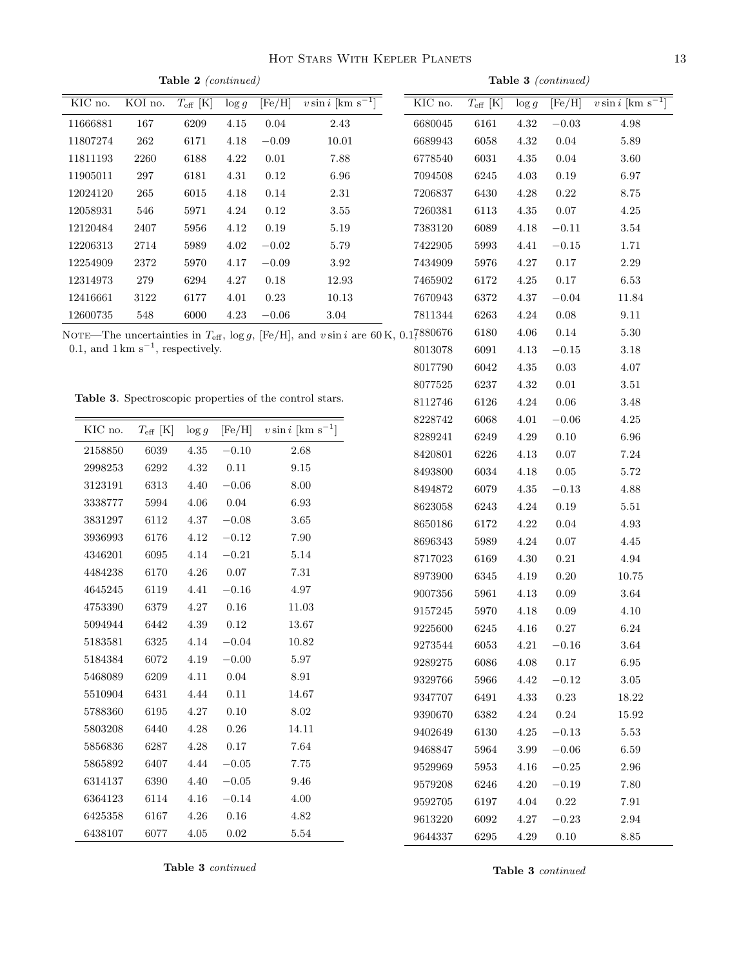Table 2 (continued) KIC no. KOI no.  $T_{\text{eff}}$  [K]  $\log g$  [Fe/H]  $v \sin i$  [km s<sup>-1</sup> 11666881 167 6209 4.15 0.04 2.43

| KIC no.     | KOI no.                                                 | $T_{\rm eff}$ [K] | $\log g$    | [Fe/H]                        | $\overline{v \sin i}$ [km s]                                                                    | KIC no.              | $T_{\rm eff}$ [K] | $\log g$ | [Fe/H]     | $v \sin i$ [km s |
|-------------|---------------------------------------------------------|-------------------|-------------|-------------------------------|-------------------------------------------------------------------------------------------------|----------------------|-------------------|----------|------------|------------------|
| 11666881    | 167                                                     | 6209              | $4.15\,$    | $0.04\,$                      | $2.43\,$                                                                                        | 6680045              | 6161              | $4.32\,$ | $-0.03$    | $4.98\,$         |
| 11807274    | $262\,$                                                 | 6171              | 4.18        | $-0.09$                       | 10.01                                                                                           | 6689943              | 6058              | 4.32     | 0.04       | $5.89\,$         |
| 11811193    | $2260\,$                                                | 6188              | 4.22        | $0.01\,$                      | 7.88                                                                                            | 6778540              | 6031              | 4.35     | $0.04\,$   | $3.60\,$         |
| 11905011    | $\bf 297$                                               | 6181              | 4.31        | $0.12\,$                      | 6.96                                                                                            | 7094508              | 6245              | 4.03     | 0.19       | $6.97\,$         |
| 12024120    | $265\,$                                                 | $6015\,$          | 4.18        | $0.14\,$                      | 2.31                                                                                            | 7206837              | 6430              | 4.28     | 0.22       | $8.75\,$         |
| 12058931    | 546                                                     | 5971              | 4.24        | $0.12\,$                      | 3.55                                                                                            | 7260381              | 6113              | 4.35     | $0.07\,$   | $4.25\,$         |
| 12120484    | $2407\,$                                                | 5956              | 4.12        | $0.19\,$                      | $5.19\,$                                                                                        | 7383120              | 6089              | 4.18     | $-0.11$    | $3.54\,$         |
| 12206313    | $2714\,$                                                | 5989              | 4.02        | $-0.02\,$                     | 5.79                                                                                            | 7422905              | 5993              | 4.41     | $-0.15$    | 1.71             |
| 12254909    | 2372                                                    | 5970              | 4.17        | $-0.09$                       | $3.92\,$                                                                                        | 7434909              | 5976              | 4.27     | 0.17       | $2.29\,$         |
| 12314973    | 279                                                     | 6294              | 4.27        | $0.18\,$                      | 12.93                                                                                           | 7465902              | 6172              | 4.25     | 0.17       | 6.53             |
| 12416661    | $3122\,$                                                | 6177              | 4.01        | $0.23\,$                      | $10.13\,$                                                                                       | 7670943              | 6372              | 4.37     | $-0.04$    | 11.84            |
| 12600735    | 548                                                     | 6000              | $4.23\,$    | $-0.06$                       | 3.04                                                                                            | $7811344\,$          | 6263              | $4.24\,$ | 0.08       | $9.11\,$         |
|             |                                                         |                   |             |                               | NOTE—The uncertainties in $T_{\text{eff}}$ , log g, [Fe/H], and $v \sin i$ are 60 K, 0.17880676 |                      | 6180              | 4.06     | $0.14\,$   | $5.30\,$         |
|             | 0.1, and $1 \text{ km s}^{-1}$ , respectively.          |                   |             |                               |                                                                                                 | 8013078              | 6091              | 4.13     | $-0.15$    | $3.18\,$         |
|             |                                                         |                   |             |                               |                                                                                                 | 8017790              | 6042              | 4.35     | $\rm 0.03$ | $4.07\,$         |
|             |                                                         |                   |             |                               |                                                                                                 | 8077525              | 6237              | $4.32\,$ | $0.01\,$   | $3.51\,$         |
|             | Table 3. Spectroscopic properties of the control stars. |                   |             |                               |                                                                                                 | 8112746              | 6126              | $4.24\,$ | 0.06       | $3.48\,$         |
|             |                                                         |                   |             |                               |                                                                                                 | 8228742              | 6068              | 4.01     | $-0.06$    | $4.25\,$         |
| KIC no.     | $T_{\rm eff}$ [K]                                       | $\log g$          | [Fe/H]      | $v \sin i$ [km s <sup>-</sup> |                                                                                                 | 8289241              | 6249              | $4.29\,$ | $0.10\,$   | $6.96\,$         |
| 2158850     | 6039                                                    | 4.35              | $-0.10$     |                               | $2.68\,$                                                                                        | 8420801              | 6226              | 4.13     | 0.07       | $7.24\,$         |
| 2998253     | 6292                                                    | 4.32              | 0.11        |                               | $\ \, 9.15$                                                                                     | 8493800              | 6034              | 4.18     | $0.05\,$   | $5.72\,$         |
| 3123191     | 6313                                                    | 4.40              | $-0.06$     |                               | $8.00\,$                                                                                        | 8494872              | 6079              | 4.35     | $-0.13$    | 4.88             |
| 3338777     | 5994                                                    | 4.06              | $0.04\,$    |                               | $6.93\,$                                                                                        | 8623058              | 6243              | $4.24\,$ | $0.19\,$   | $5.51\,$         |
| 3831297     | 6112                                                    | 4.37              | $-0.08$     |                               | $3.65\,$                                                                                        | 8650186              | 6172              | $4.22\,$ | $0.04\,$   | $4.93\,$         |
| 3936993     | 6176                                                    | 4.12              | $-0.12$     |                               | $7.90\,$                                                                                        | 8696343              | 5989              | $4.24\,$ | $0.07\,$   | $4.45\,$         |
| $4346201\,$ | 6095                                                    | 4.14              | $-0.21$     |                               | $5.14\,$                                                                                        | 8717023              | 6169              | 4.30     | $0.21\,$   | $4.94\,$         |
| 4484238     | 6170                                                    | $4.26\,$          | $0.07\,$    |                               | $7.31\,$                                                                                        | 8973900              | 6345              | $4.19\,$ | 0.20       | $10.75\,$        |
| 4645245     | 6119                                                    | 4.41              | $-0.16$     |                               | 4.97                                                                                            | 9007356              | 5961              | 4.13     | 0.09       | $3.64\,$         |
| 4753390     | 6379                                                    | 4.27              | $0.16\,$    |                               | 11.03                                                                                           | 9157245              | 5970              | 4.18     | $0.09\,$   | 4.10             |
| 5094944     | 6442                                                    | 4.39              | 0.12        |                               | 13.67                                                                                           | 9225600              | 6245              | 4.16     | $0.27\,$   | $6.24\,$         |
| 5183581     | 6325                                                    | 4.14              | $-0.04$     |                               | 10.82                                                                                           | $\phantom{-}9273544$ | 6053              | 4.21     | $-0.16$    | $3.64\,$         |
| 5184384     | 6072                                                    | $4.19\,$          | $-0.00$     |                               | $5.97\,$                                                                                        | 9289275              | 6086              | $4.08\,$ | $0.17\,$   | $6.95\,$         |
| 5468089     | 6209                                                    | 4.11              | $0.04\,$    |                               | $8.91\,$                                                                                        | 9329766              | 5966              | $4.42\,$ | $-0.12$    | $3.05\,$         |
| 5510904     | 6431                                                    | 4.44              | $0.11\,$    |                               | 14.67                                                                                           | 9347707              | 6491              | 4.33     | $0.23\,$   | 18.22            |
| 5788360     | 6195                                                    | 4.27              | 0.10        |                               | 8.02                                                                                            | 9390670              | 6382              | $4.24\,$ | $0.24\,$   | 15.92            |
| 5803208     | 6440                                                    | 4.28              | 0.26        |                               | 14.11                                                                                           | 9402649              | 6130              | $4.25\,$ | $-0.13\,$  | $5.53\,$         |
| 5856836     | 6287                                                    | 4.28              | $0.17\,$    |                               | 7.64                                                                                            | 9468847              | 5964              | $3.99\,$ | $-0.06$    | $6.59\,$         |
| $5865892\,$ | 6407                                                    | 4.44              | $\!-0.05\!$ |                               | $7.75\,$                                                                                        | 9529969              | 5953              | 4.16     | $-0.25$    | $2.96\,$         |
| 6314137     | 6390                                                    | 4.40              | $\!-0.05\!$ |                               | $9.46\,$                                                                                        | 9579208              | 6246              | 4.20     | $-0.19$    | $7.80\,$         |
| 6364123     | 6114                                                    | 4.16              | $-0.14$     |                               | $4.00\,$                                                                                        | 9592705              | 6197              | 4.04     | $0.22\,$   | $7.91\,$         |
| 6425358     | 6167                                                    | 4.26              | $0.16\,$    |                               | $4.82\,$                                                                                        | 9613220              | 6092              | 4.27     | $-0.23$    | $2.94\,$         |
| 6438107     | 6077                                                    | 4.05              | $0.02\,$    |                               | 5.54                                                                                            | 9644337              | $6295\,$          | 4.29     | $0.10\,$   | $8.85\,$         |

Table 3 (continued)

| ALOUUUU | $\sigma\sigma\sigma$ |        | $v \cdot \tau$       | $\sim\!\!\sim\!$ |
|---------|----------------------|--------|----------------------|------------------|
| 0000000 | $\sqrt{20}$          | $\sim$ | $\sim$ $\sim$ $\sim$ | $\sim$ $\sim$    |

| 2158850 | 6039 | 4.35 | $-0.10$ | 2.68  |
|---------|------|------|---------|-------|
| 2998253 | 6292 | 4.32 | 0.11    | 9.15  |
| 3123191 | 6313 | 4.40 | $-0.06$ | 8.00  |
| 3338777 | 5994 | 4.06 | 0.04    | 6.93  |
| 3831297 | 6112 | 4.37 | $-0.08$ | 3.65  |
| 3936993 | 6176 | 4.12 | $-0.12$ | 7.90  |
| 4346201 | 6095 | 4.14 | $-0.21$ | 5.14  |
| 4484238 | 6170 | 4.26 | 0.07    | 7.31  |
| 4645245 | 6119 | 4.41 | $-0.16$ | 4.97  |
| 4753390 | 6379 | 4.27 | 0.16    | 11.03 |
| 5094944 | 6442 | 4.39 | 0.12    | 13.67 |
| 5183581 | 6325 | 4.14 | $-0.04$ | 10.82 |
| 5184384 | 6072 | 4.19 | $-0.00$ | 5.97  |
| 5468089 | 6209 | 4.11 | 0.04    | 8.91  |
| 5510904 | 6431 | 4.44 | 0.11    | 14.67 |
| 5788360 | 6195 | 4.27 | 0.10    | 8.02  |
| 5803208 | 6440 | 4.28 | 0.26    | 14.11 |
| 5856836 | 6287 | 4.28 | 0.17    | 7.64  |
| 5865892 | 6407 | 4.44 | $-0.05$ | 7.75  |
| 6314137 | 6390 | 4.40 | $-0.05$ | 9.46  |
| 6364123 | 6114 | 4.16 | $-0.14$ | 4.00  |
| 6425358 | 6167 | 4.26 | 0.16    | 4.82  |
| 6438107 | 6077 | 4.05 | 0.02    | 5.54  |

Table 3 continued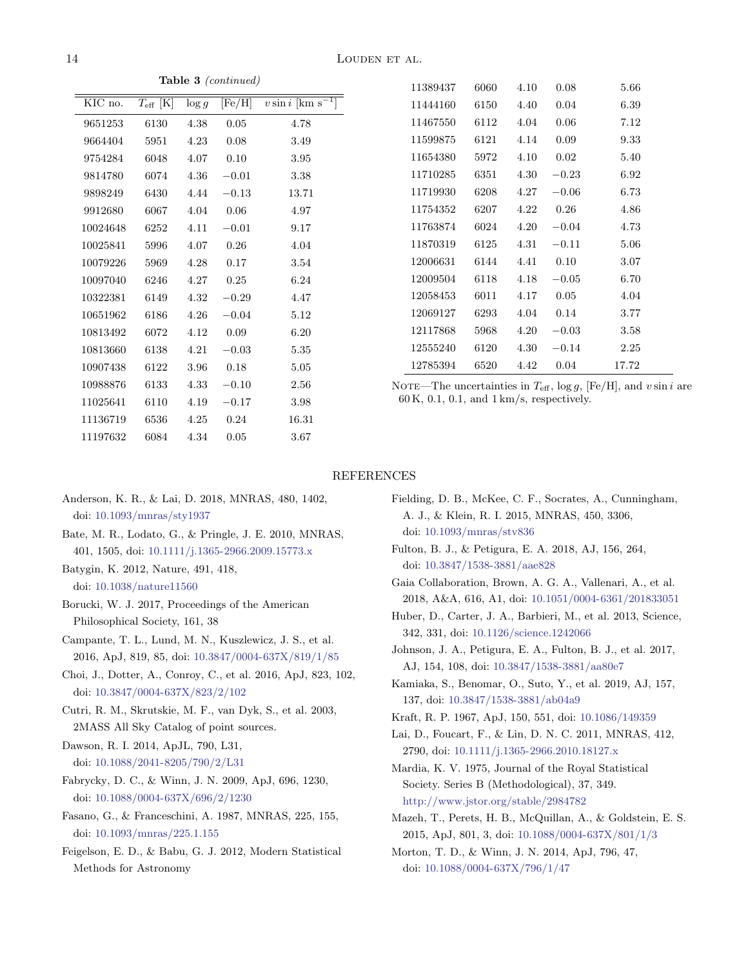Table 3 (continued)

| KIC no.  | $T_{\rm eff}$ [K] | $\log g$ | [Fe/H]  | $v \sin i$ [ $\overline{\rm km~s^{-1}}$ ] |
|----------|-------------------|----------|---------|-------------------------------------------|
| 9651253  | 6130              | 4.38     | 0.05    | 4.78                                      |
| 9664404  | 5951              | 4.23     | 0.08    | 3.49                                      |
| 9754284  | 6048              | 4.07     | 0.10    | 3.95                                      |
| 9814780  | 6074              | 4.36     | $-0.01$ | 3.38                                      |
| 9898249  | 6430              | 4.44     | $-0.13$ | 13.71                                     |
| 9912680  | 6067              | 4.04     | 0.06    | 4.97                                      |
| 10024648 | 6252              | 4.11     | $-0.01$ | 9.17                                      |
| 10025841 | 5996              | 4.07     | 0.26    | 4.04                                      |
| 10079226 | 5969              | 4.28     | 0.17    | 3.54                                      |
| 10097040 | 6246              | 4.27     | 0.25    | 6.24                                      |
| 10322381 | 6149              | 4.32     | $-0.29$ | 4.47                                      |
| 10651962 | 6186              | 4.26     | $-0.04$ | 5.12                                      |
| 10813492 | 6072              | 4.12     | 0.09    | 6.20                                      |
| 10813660 | 6138              | 4.21     | $-0.03$ | 5.35                                      |
| 10907438 | 6122              | 3.96     | 0.18    | 5.05                                      |
| 10988876 | 6133              | 4.33     | $-0.10$ | 2.56                                      |
| 11025641 | 6110              | 4.19     | $-0.17$ | 3.98                                      |
| 11136719 | 6536              | 4.25     | 0.24    | 16.31                                     |
| 11197632 | 6084              | 4.34     | 0.05    | 3.67                                      |
|          |                   |          |         |                                           |

| 11389437 | 6060 | 4.10 | 0.08    | 5.66     |
|----------|------|------|---------|----------|
| 11444160 | 6150 | 4.40 | 0.04    | 6.39     |
| 11467550 | 6112 | 4.04 | 0.06    | 7.12     |
| 11599875 | 6121 | 4.14 | 0.09    | 9.33     |
| 11654380 | 5972 | 4.10 | 0.02    | 5.40     |
| 11710285 | 6351 | 4.30 | $-0.23$ | 6.92     |
| 11719930 | 6208 | 4.27 | $-0.06$ | 6.73     |
| 11754352 | 6207 | 4.22 | 0.26    | 4.86     |
| 11763874 | 6024 | 4.20 | $-0.04$ | 4.73     |
| 11870319 | 6125 | 4.31 | $-0.11$ | 5.06     |
| 12006631 | 6144 | 4.41 | 0.10    | $3.07\,$ |
| 12009504 | 6118 | 4.18 | $-0.05$ | 6.70     |
| 12058453 | 6011 | 4.17 | 0.05    | 4.04     |
| 12069127 | 6293 | 4.04 | 0.14    | 3.77     |
| 12117868 | 5968 | 4.20 | $-0.03$ | 3.58     |
| 12555240 | 6120 | 4.30 | $-0.14$ | 2.25     |
| 12785394 | 6520 | 4.42 | 0.04    | 17.72    |

NOTE—The uncertainties in  $T_{\text{eff}}$ ,  $\log g$ , [Fe/H], and v sin i are 60 K, 0.1, 0.1, and 1 km/s, respectively.

### REFERENCES

- <span id="page-13-21"></span>Anderson, K. R., & Lai, D. 2018, MNRAS, 480, 1402, doi: [10.1093/mnras/sty1937](http://doi.org/10.1093/mnras/sty1937)
- <span id="page-13-17"></span>Bate, M. R., Lodato, G., & Pringle, J. E. 2010, MNRAS, 401, 1505, doi: [10.1111/j.1365-2966.2009.15773.x](http://doi.org/10.1111/j.1365-2966.2009.15773.x)
- <span id="page-13-20"></span>Batygin, K. 2012, Nature, 491, 418, doi: [10.1038/nature11560](http://doi.org/10.1038/nature11560)
- <span id="page-13-2"></span>Borucki, W. J. 2017, Proceedings of the American Philosophical Society, 161, 38
- <span id="page-13-14"></span>Campante, T. L., Lund, M. N., Kuszlewicz, J. S., et al. 2016, ApJ, 819, 85, doi: [10.3847/0004-637X/819/1/85](http://doi.org/10.3847/0004-637X/819/1/85)
- <span id="page-13-10"></span>Choi, J., Dotter, A., Conroy, C., et al. 2016, ApJ, 823, 102, doi: [10.3847/0004-637X/823/2/102](http://doi.org/10.3847/0004-637X/823/2/102)
- <span id="page-13-9"></span>Cutri, R. M., Skrutskie, M. F., van Dyk, S., et al. 2003, 2MASS All Sky Catalog of point sources.
- <span id="page-13-1"></span>Dawson, R. I. 2014, ApJL, 790, L31, doi: [10.1088/2041-8205/790/2/L31](http://doi.org/10.1088/2041-8205/790/2/L31)
- <span id="page-13-0"></span>Fabrycky, D. C., & Winn, J. N. 2009, ApJ, 696, 1230, doi: [10.1088/0004-637X/696/2/1230](http://doi.org/10.1088/0004-637X/696/2/1230)
- <span id="page-13-7"></span>Fasano, G., & Franceschini, A. 1987, MNRAS, 225, 155, doi: [10.1093/mnras/225.1.155](http://doi.org/10.1093/mnras/225.1.155)
- <span id="page-13-8"></span>Feigelson, E. D., & Babu, G. J. 2012, Modern Statistical Methods for Astronomy
- <span id="page-13-18"></span>Fielding, D. B., McKee, C. F., Socrates, A., Cunningham, A. J., & Klein, R. I. 2015, MNRAS, 450, 3306, doi: [10.1093/mnras/stv836](http://doi.org/10.1093/mnras/stv836)
- <span id="page-13-5"></span>Fulton, B. J., & Petigura, E. A. 2018, AJ, 156, 264, doi: [10.3847/1538-3881/aae828](http://doi.org/10.3847/1538-3881/aae828)
- <span id="page-13-6"></span>Gaia Collaboration, Brown, A. G. A., Vallenari, A., et al. 2018, A&A, 616, A1, doi: [10.1051/0004-6361/201833051](http://doi.org/10.1051/0004-6361/201833051)
- <span id="page-13-16"></span>Huber, D., Carter, J. A., Barbieri, M., et al. 2013, Science, 342, 331, doi: [10.1126/science.1242066](http://doi.org/10.1126/science.1242066)
- <span id="page-13-4"></span>Johnson, J. A., Petigura, E. A., Fulton, B. J., et al. 2017, AJ, 154, 108, doi: [10.3847/1538-3881/aa80e7](http://doi.org/10.3847/1538-3881/aa80e7)
- <span id="page-13-15"></span>Kamiaka, S., Benomar, O., Suto, Y., et al. 2019, AJ, 157, 137, doi: [10.3847/1538-3881/ab04a9](http://doi.org/10.3847/1538-3881/ab04a9)
- <span id="page-13-11"></span>Kraft, R. P. 1967, ApJ, 150, 551, doi: [10.1086/149359](http://doi.org/10.1086/149359)
- <span id="page-13-19"></span>Lai, D., Foucart, F., & Lin, D. N. C. 2011, MNRAS, 412, 2790, doi: [10.1111/j.1365-2966.2010.18127.x](http://doi.org/10.1111/j.1365-2966.2010.18127.x)
- <span id="page-13-12"></span>Mardia, K. V. 1975, Journal of the Royal Statistical Society. Series B (Methodological), 37, 349. <http://www.jstor.org/stable/2984782>
- <span id="page-13-3"></span>Mazeh, T., Perets, H. B., McQuillan, A., & Goldstein, E. S. 2015, ApJ, 801, 3, doi: [10.1088/0004-637X/801/1/3](http://doi.org/10.1088/0004-637X/801/1/3)
- <span id="page-13-13"></span>Morton, T. D., & Winn, J. N. 2014, ApJ, 796, 47, doi: [10.1088/0004-637X/796/1/47](http://doi.org/10.1088/0004-637X/796/1/47)